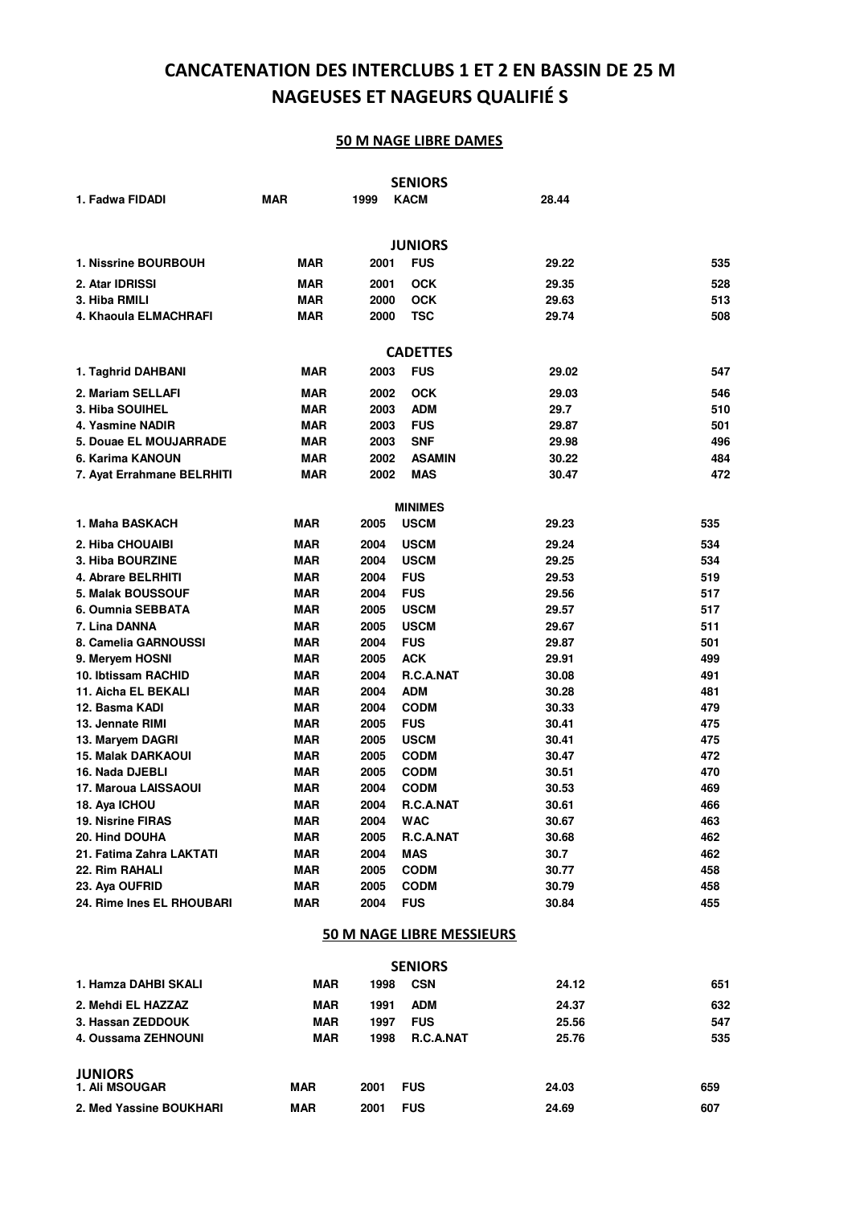# **CANCATENATION DES INTERCLUBS 1 ET 2 EN BASSIN DE 25 M NAGEUSES ET NAGEURS QUALIFIÉ S**

|                            |            |      | <b>SENIORS</b>                   |       |     |
|----------------------------|------------|------|----------------------------------|-------|-----|
| 1. Fadwa FIDADI            | <b>MAR</b> | 1999 | <b>KACM</b>                      | 28.44 |     |
|                            |            |      |                                  |       |     |
|                            |            |      | <b>JUNIORS</b>                   |       |     |
| 1. Nissrine BOURBOUH       | <b>MAR</b> | 2001 | <b>FUS</b>                       | 29.22 | 535 |
| 2. Atar IDRISSI            | <b>MAR</b> | 2001 | <b>OCK</b>                       | 29.35 | 528 |
| 3. Hiba RMILI              | <b>MAR</b> | 2000 | <b>OCK</b>                       | 29.63 | 513 |
| 4. Khaoula ELMACHRAFI      | <b>MAR</b> | 2000 | TSC                              | 29.74 | 508 |
|                            |            |      |                                  |       |     |
|                            |            |      | <b>CADETTES</b>                  |       |     |
| 1. Taghrid DAHBANI         | MAR        | 2003 | <b>FUS</b>                       | 29.02 | 547 |
| 2. Mariam SELLAFI          | <b>MAR</b> | 2002 | <b>OCK</b>                       | 29.03 | 546 |
| 3. Hiba SOUIHEL            | MAR        | 2003 | <b>ADM</b>                       | 29.7  | 510 |
| 4. Yasmine NADIR           | MAR        | 2003 | <b>FUS</b>                       | 29.87 | 501 |
| 5. Douae EL MOUJARRADE     | MAR        | 2003 | <b>SNF</b>                       | 29.98 | 496 |
| 6. Karima KANOUN           | MAR        | 2002 | <b>ASAMIN</b>                    | 30.22 | 484 |
| 7. Ayat Errahmane BELRHITI | MAR        | 2002 | <b>MAS</b>                       | 30.47 | 472 |
|                            |            |      |                                  |       |     |
|                            |            |      | <b>MINIMES</b>                   |       |     |
| 1. Maha BASKACH            | <b>MAR</b> | 2005 | <b>USCM</b>                      | 29.23 | 535 |
| 2. Hiba CHOUAIBI           | <b>MAR</b> | 2004 | <b>USCM</b>                      | 29.24 | 534 |
| 3. Hiba BOURZINE           | <b>MAR</b> | 2004 | <b>USCM</b>                      | 29.25 | 534 |
| 4. Abrare BELRHITI         | <b>MAR</b> | 2004 | <b>FUS</b>                       | 29.53 | 519 |
| 5. Malak BOUSSOUF          | <b>MAR</b> | 2004 | <b>FUS</b>                       | 29.56 | 517 |
| 6. Oumnia SEBBATA          | <b>MAR</b> | 2005 | <b>USCM</b>                      | 29.57 | 517 |
| 7. Lina DANNA              | <b>MAR</b> | 2005 | <b>USCM</b>                      | 29.67 | 511 |
| 8. Camelia GARNOUSSI       | <b>MAR</b> | 2004 | <b>FUS</b>                       | 29.87 | 501 |
| 9. Meryem HOSNI            | <b>MAR</b> | 2005 | <b>ACK</b>                       | 29.91 | 499 |
| 10. Ibtissam RACHID        | <b>MAR</b> | 2004 | R.C.A.NAT                        | 30.08 | 491 |
| 11. Aicha EL BEKALI        | <b>MAR</b> | 2004 | ADM                              | 30.28 | 481 |
| 12. Basma KADI             | <b>MAR</b> | 2004 | <b>CODM</b>                      | 30.33 | 479 |
| 13. Jennate RIMI           | <b>MAR</b> | 2005 | <b>FUS</b>                       | 30.41 | 475 |
| 13. Maryem DAGRI           | <b>MAR</b> | 2005 | <b>USCM</b>                      | 30.41 | 475 |
| 15. Malak DARKAOUI         | <b>MAR</b> | 2005 | <b>CODM</b>                      | 30.47 | 472 |
| 16. Nada DJEBLI            | <b>MAR</b> | 2005 | <b>CODM</b>                      | 30.51 | 470 |
| 17. Maroua LAISSAOUI       | <b>MAR</b> | 2004 | <b>CODM</b>                      | 30.53 | 469 |
| 18. Aya ICHOU              | <b>MAR</b> | 2004 | R.C.A.NAT                        | 30.61 | 466 |
| 19. Nisrine FIRAS          | <b>MAR</b> | 2004 | <b>WAC</b>                       | 30.67 | 463 |
| 20. Hind DOUHA             | <b>MAR</b> | 2005 | R.C.A.NAT                        | 30.68 | 462 |
| 21. Fatima Zahra LAKTATI   | <b>MAR</b> | 2004 | <b>MAS</b>                       | 30.7  | 462 |
| 22. Rim RAHALI             | <b>MAR</b> | 2005 | <b>CODM</b>                      | 30.77 | 458 |
| 23. Aya OUFRID             | <b>MAR</b> | 2005 | <b>CODM</b>                      | 30.79 | 458 |
| 24. Rime Ines EL RHOUBARI  | <b>MAR</b> | 2004 | <b>FUS</b>                       | 30.84 | 455 |
|                            |            |      | <b>50 M NAGE LIBRE MESSIEURS</b> |       |     |
|                            |            |      | <b>SENIORS</b>                   |       |     |
| 1. Hamza DAHBI SKALI       | MAR        | 1998 | <b>CSN</b>                       | 24.12 | 651 |
| 2. Mehdi EL HAZZAZ         | <b>MAR</b> | 1991 | <b>ADM</b>                       | 24.37 | 632 |
| 3. Hassan ZEDDOUK          | <b>MAR</b> | 1997 | <b>FUS</b>                       | 25.56 | 547 |

| 4. Oussama ZEHNOUNI                     | <b>MAR</b> | 1998 | <b>R.C.A.NAT</b> | 25.76 | 535 |
|-----------------------------------------|------------|------|------------------|-------|-----|
| <b>JUNIORS</b><br><b>1. Ali MSOUGAR</b> | <b>MAR</b> | 2001 | <b>FUS</b>       | 24.03 | 659 |
| 2. Med Yassine BOUKHARI                 | <b>MAR</b> | 2001 | <b>FUS</b>       | 24.69 | 607 |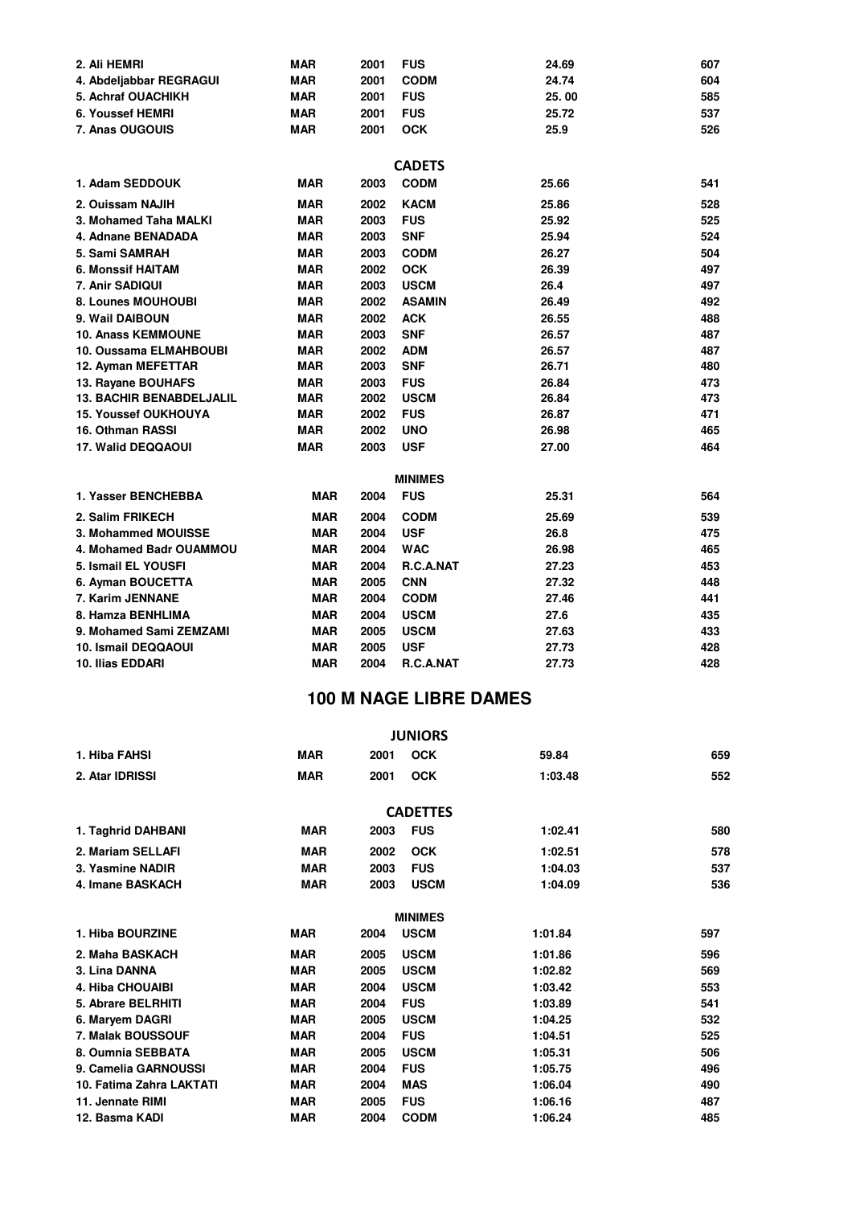| 2. Ali HEMRI                    | <b>MAR</b> | 2001 | <b>FUS</b>                 | 24.69 | 607 |
|---------------------------------|------------|------|----------------------------|-------|-----|
| 4. Abdeljabbar REGRAGUI         | <b>MAR</b> | 2001 | <b>CODM</b>                | 24.74 | 604 |
| 5. Achraf OUACHIKH              | <b>MAR</b> | 2001 | <b>FUS</b>                 | 25.00 | 585 |
| 6. Youssef HEMRI                | <b>MAR</b> | 2001 | <b>FUS</b>                 | 25.72 | 537 |
| 7. Anas OUGOUIS                 | <b>MAR</b> | 2001 | <b>OCK</b>                 | 25.9  | 526 |
|                                 |            |      |                            |       |     |
|                                 |            |      | <b>CADETS</b>              |       |     |
| 1. Adam SEDDOUK                 | <b>MAR</b> | 2003 | <b>CODM</b>                | 25.66 | 541 |
| 2. Ouissam NAJIH                | <b>MAR</b> | 2002 | <b>KACM</b>                | 25.86 | 528 |
| 3. Mohamed Taha MALKI           | <b>MAR</b> | 2003 | <b>FUS</b>                 | 25.92 | 525 |
| 4. Adnane BENADADA              | <b>MAR</b> | 2003 | <b>SNF</b>                 | 25.94 | 524 |
| 5. Sami SAMRAH                  | <b>MAR</b> | 2003 | <b>CODM</b>                | 26.27 | 504 |
| <b>6. Monssif HAITAM</b>        | <b>MAR</b> | 2002 | <b>OCK</b>                 | 26.39 | 497 |
| 7. Anir SADIQUI                 | <b>MAR</b> | 2003 | <b>USCM</b>                | 26.4  | 497 |
| 8. Lounes MOUHOUBI              | <b>MAR</b> | 2002 | <b>ASAMIN</b>              | 26.49 | 492 |
| 9. Wail DAIBOUN                 | <b>MAR</b> | 2002 | <b>ACK</b>                 | 26.55 | 488 |
| <b>10. Anass KEMMOUNE</b>       | <b>MAR</b> | 2003 | <b>SNF</b>                 | 26.57 | 487 |
| 10. Oussama ELMAHBOUBI          | <b>MAR</b> | 2002 | <b>ADM</b>                 | 26.57 | 487 |
| 12. Ayman MEFETTAR              | <b>MAR</b> | 2003 | <b>SNF</b>                 | 26.71 | 480 |
| 13. Rayane BOUHAFS              | <b>MAR</b> | 2003 | <b>FUS</b>                 | 26.84 | 473 |
| <b>13. BACHIR BENABDELJALIL</b> | <b>MAR</b> | 2002 | <b>USCM</b>                | 26.84 | 473 |
| <b>15. Youssef OUKHOUYA</b>     | <b>MAR</b> | 2002 | <b>FUS</b>                 | 26.87 | 471 |
| 16. Othman RASSI                | <b>MAR</b> | 2002 | <b>UNO</b>                 | 26.98 | 465 |
| 17. Walid DEQQAOUI              | <b>MAR</b> | 2003 | <b>USF</b>                 | 27.00 | 464 |
|                                 |            |      | <b>MINIMES</b>             |       |     |
| 1. Yasser BENCHEBBA             | <b>MAR</b> | 2004 | <b>FUS</b>                 | 25.31 | 564 |
| 2. Salim FRIKECH                | <b>MAR</b> | 2004 | <b>CODM</b>                | 25.69 | 539 |
| 3. Mohammed MOUISSE             | <b>MAR</b> | 2004 | <b>USF</b>                 | 26.8  | 475 |
| 4. Mohamed Badr OUAMMOU         | <b>MAR</b> | 2004 | <b>WAC</b>                 | 26.98 | 465 |
| 5. Ismail EL YOUSFI             | <b>MAR</b> | 2004 | R.C.A.NAT                  | 27.23 | 453 |
| 6. Ayman BOUCETTA               | <b>MAR</b> | 2005 | <b>CNN</b>                 | 27.32 | 448 |
| 7. Karim JENNANE                | <b>MAR</b> | 2004 | <b>CODM</b>                | 27.46 | 441 |
| 8. Hamza BENHLIMA               | <b>MAR</b> | 2004 |                            | 27.6  | 435 |
| 9. Mohamed Sami ZEMZAMI         | <b>MAR</b> | 2005 | <b>USCM</b><br><b>USCM</b> | 27.63 | 433 |
| 10. Ismail DEQQAOUI             | <b>MAR</b> | 2005 | <b>USF</b>                 | 27.73 | 428 |
| 10. Ilias EDDARI                | <b>MAR</b> | 2004 | R.C.A.NAT                  | 27.73 | 428 |
|                                 |            |      |                            |       |     |

|                          |            |      | <b>JUNIORS</b>  |         |     |
|--------------------------|------------|------|-----------------|---------|-----|
| 1. Hiba FAHSI            | <b>MAR</b> | 2001 | <b>OCK</b>      | 59.84   | 659 |
| 2. Atar IDRISSI          | <b>MAR</b> | 2001 | <b>OCK</b>      | 1:03.48 | 552 |
|                          |            |      | <b>CADETTES</b> |         |     |
| 1. Taghrid DAHBANI       | <b>MAR</b> | 2003 | <b>FUS</b>      | 1:02.41 | 580 |
| 2. Mariam SELLAFI        | <b>MAR</b> | 2002 | <b>OCK</b>      | 1:02.51 | 578 |
| 3. Yasmine NADIR         | <b>MAR</b> | 2003 | <b>FUS</b>      | 1:04.03 | 537 |
| 4. Imane BASKACH         | <b>MAR</b> | 2003 | <b>USCM</b>     | 1:04.09 | 536 |
|                          |            |      | <b>MINIMES</b>  |         |     |
| 1. Hiba BOURZINE         | <b>MAR</b> | 2004 | <b>USCM</b>     | 1:01.84 | 597 |
| 2. Maha BASKACH          | <b>MAR</b> | 2005 | <b>USCM</b>     | 1:01.86 | 596 |
| 3. Lina DANNA            | <b>MAR</b> | 2005 | <b>USCM</b>     | 1:02.82 | 569 |
| <b>4. Hiba CHOUAIBI</b>  | <b>MAR</b> | 2004 | <b>USCM</b>     | 1:03.42 | 553 |
| 5. Abrare BELRHITI       | <b>MAR</b> | 2004 | <b>FUS</b>      | 1:03.89 | 541 |
| 6. Maryem DAGRI          | <b>MAR</b> | 2005 | <b>USCM</b>     | 1:04.25 | 532 |
| 7. Malak BOUSSOUF        | <b>MAR</b> | 2004 | <b>FUS</b>      | 1:04.51 | 525 |
| 8. Oumnia SEBBATA        | <b>MAR</b> | 2005 | <b>USCM</b>     | 1:05.31 | 506 |
| 9. Camelia GARNOUSSI     | <b>MAR</b> | 2004 | <b>FUS</b>      | 1:05.75 | 496 |
| 10. Fatima Zahra LAKTATI | <b>MAR</b> | 2004 | <b>MAS</b>      | 1:06.04 | 490 |
| 11. Jennate RIMI         | <b>MAR</b> | 2005 | <b>FUS</b>      | 1:06.16 | 487 |
| 12. Basma KADI           | <b>MAR</b> | 2004 | <b>CODM</b>     | 1:06.24 | 485 |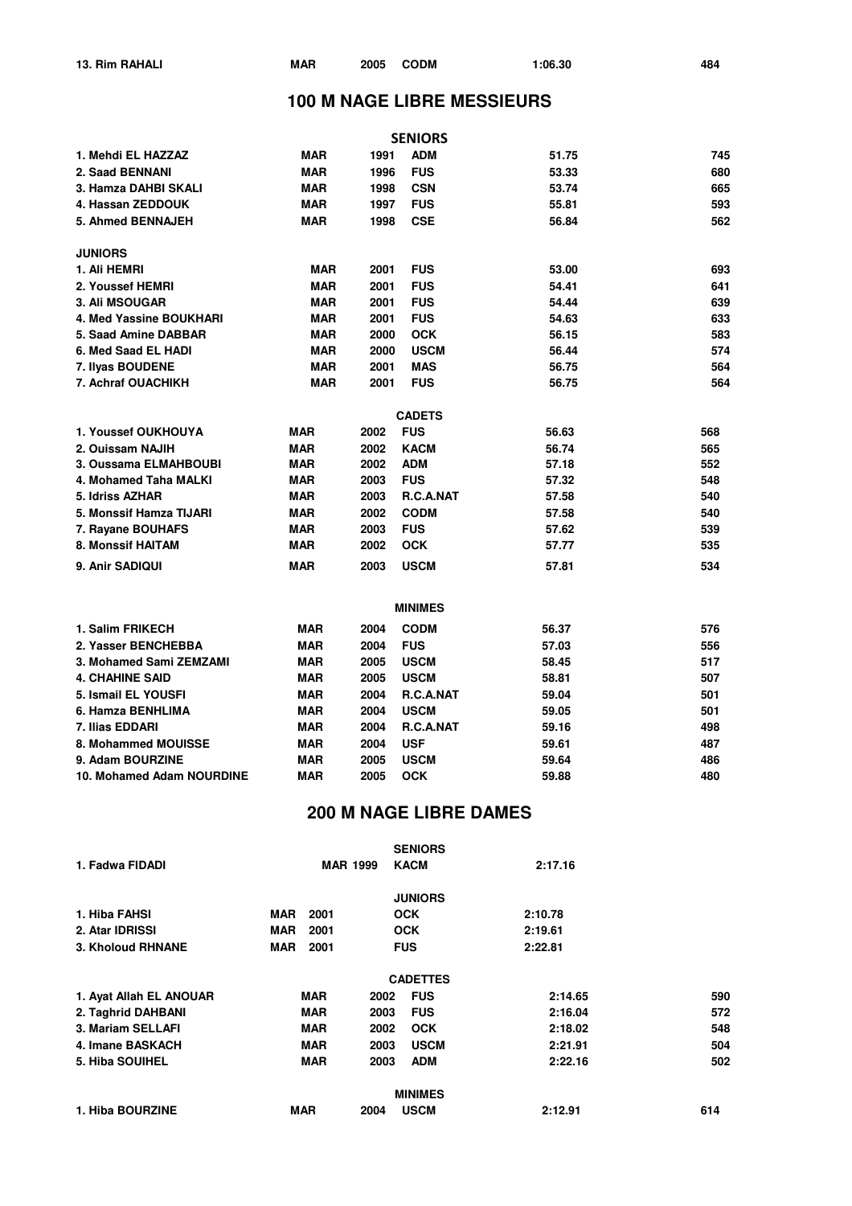|                           |            |      | <b>SENIORS</b>   |       |     |
|---------------------------|------------|------|------------------|-------|-----|
| 1. Mehdi EL HAZZAZ        | <b>MAR</b> | 1991 | <b>ADM</b>       | 51.75 | 745 |
| 2. Saad BENNANI           | <b>MAR</b> | 1996 | <b>FUS</b>       | 53.33 | 680 |
| 3. Hamza DAHBI SKALI      | <b>MAR</b> | 1998 | <b>CSN</b>       | 53.74 | 665 |
| 4. Hassan ZEDDOUK         | <b>MAR</b> | 1997 | <b>FUS</b>       | 55.81 | 593 |
| <b>5. Ahmed BENNAJEH</b>  | <b>MAR</b> | 1998 | <b>CSE</b>       | 56.84 | 562 |
| <b>JUNIORS</b>            |            |      |                  |       |     |
| 1. Ali HEMRI              | <b>MAR</b> | 2001 | <b>FUS</b>       | 53.00 | 693 |
| 2. Youssef HEMRI          | <b>MAR</b> | 2001 | <b>FUS</b>       | 54.41 | 641 |
| 3. Ali MSOUGAR            | <b>MAR</b> | 2001 | <b>FUS</b>       | 54.44 | 639 |
| 4. Med Yassine BOUKHARI   | <b>MAR</b> | 2001 | <b>FUS</b>       | 54.63 | 633 |
| 5. Saad Amine DABBAR      | <b>MAR</b> | 2000 | <b>OCK</b>       | 56.15 | 583 |
| 6. Med Saad EL HADI       | <b>MAR</b> | 2000 | <b>USCM</b>      | 56.44 | 574 |
| 7. Ilyas BOUDENE          | <b>MAR</b> | 2001 | <b>MAS</b>       | 56.75 | 564 |
| 7. Achraf OUACHIKH        | <b>MAR</b> | 2001 | <b>FUS</b>       | 56.75 | 564 |
|                           |            |      | <b>CADETS</b>    |       |     |
| 1. Youssef OUKHOUYA       | <b>MAR</b> | 2002 | <b>FUS</b>       | 56.63 | 568 |
| 2. Ouissam NAJIH          | <b>MAR</b> | 2002 | <b>KACM</b>      | 56.74 | 565 |
| 3. Oussama ELMAHBOUBI     | <b>MAR</b> | 2002 | <b>ADM</b>       | 57.18 | 552 |
| 4. Mohamed Taha MALKI     | MAR        | 2003 | <b>FUS</b>       | 57.32 | 548 |
| 5. Idriss AZHAR           | <b>MAR</b> | 2003 | <b>R.C.A.NAT</b> | 57.58 | 540 |
| 5. Monssif Hamza TIJARI   | <b>MAR</b> | 2002 | <b>CODM</b>      | 57.58 | 540 |
| 7. Rayane BOUHAFS         | <b>MAR</b> | 2003 | <b>FUS</b>       | 57.62 | 539 |
| 8. Monssif HAITAM         | <b>MAR</b> | 2002 | <b>OCK</b>       | 57.77 | 535 |
| 9. Anir SADIQUI           | <b>MAR</b> | 2003 | <b>USCM</b>      | 57.81 | 534 |
|                           |            |      | <b>MINIMES</b>   |       |     |
| 1. Salim FRIKECH          | <b>MAR</b> | 2004 | <b>CODM</b>      | 56.37 | 576 |
| 2. Yasser BENCHEBBA       | <b>MAR</b> | 2004 | <b>FUS</b>       | 57.03 | 556 |
| 3. Mohamed Sami ZEMZAMI   | <b>MAR</b> | 2005 | <b>USCM</b>      | 58.45 | 517 |
| <b>4. CHAHINE SAID</b>    | <b>MAR</b> | 2005 | <b>USCM</b>      | 58.81 | 507 |
| 5. Ismail EL YOUSFI       | <b>MAR</b> | 2004 | R.C.A.NAT        | 59.04 | 501 |
| 6. Hamza BENHLIMA         | <b>MAR</b> | 2004 | <b>USCM</b>      | 59.05 | 501 |
| 7. Ilias EDDARI           | <b>MAR</b> | 2004 | R.C.A.NAT        | 59.16 | 498 |
| 8. Mohammed MOUISSE       | <b>MAR</b> | 2004 | <b>USF</b>       | 59.61 | 487 |
| 9. Adam BOURZINE          | <b>MAR</b> | 2005 | <b>USCM</b>      | 59.64 | 486 |
| 10. Mohamed Adam NOURDINE | <b>MAR</b> | 2005 | <b>OCK</b>       | 59.88 | 480 |
|                           |            |      |                  |       |     |

|                         |            |                 | <b>SENIORS</b>      |         |     |
|-------------------------|------------|-----------------|---------------------|---------|-----|
| 1. Fadwa FIDADI         |            | <b>MAR 1999</b> | <b>KACM</b>         | 2:17.16 |     |
|                         |            |                 | <b>JUNIORS</b>      |         |     |
| 1. Hiba FAHSI           | MAR        | 2001            | <b>OCK</b>          | 2:10.78 |     |
| 2. Atar IDRISSI         | MAR        | 2001            | <b>OCK</b>          | 2:19.61 |     |
| 3. Kholoud RHNANE       | <b>MAR</b> | 2001            | <b>FUS</b>          | 2:22.81 |     |
|                         |            |                 | <b>CADETTES</b>     |         |     |
| 1. Avat Allah EL ANOUAR |            | <b>MAR</b>      | <b>FUS</b><br>2002  | 2:14.65 | 590 |
| 2. Taghrid DAHBANI      |            | <b>MAR</b>      | <b>FUS</b><br>2003  | 2:16.04 | 572 |
| 3. Mariam SELLAFI       |            | <b>MAR</b>      | 2002<br><b>OCK</b>  | 2:18.02 | 548 |
| 4. Imane BASKACH        |            | <b>MAR</b>      | <b>USCM</b><br>2003 | 2:21.91 | 504 |
| <b>5. Hiba SOUIHEL</b>  |            | <b>MAR</b>      | 2003<br><b>ADM</b>  | 2:22.16 | 502 |
|                         |            |                 | <b>MINIMES</b>      |         |     |
| 1. Hiba BOURZINE        | <b>MAR</b> | 2004            | <b>USCM</b>         | 2:12.91 | 614 |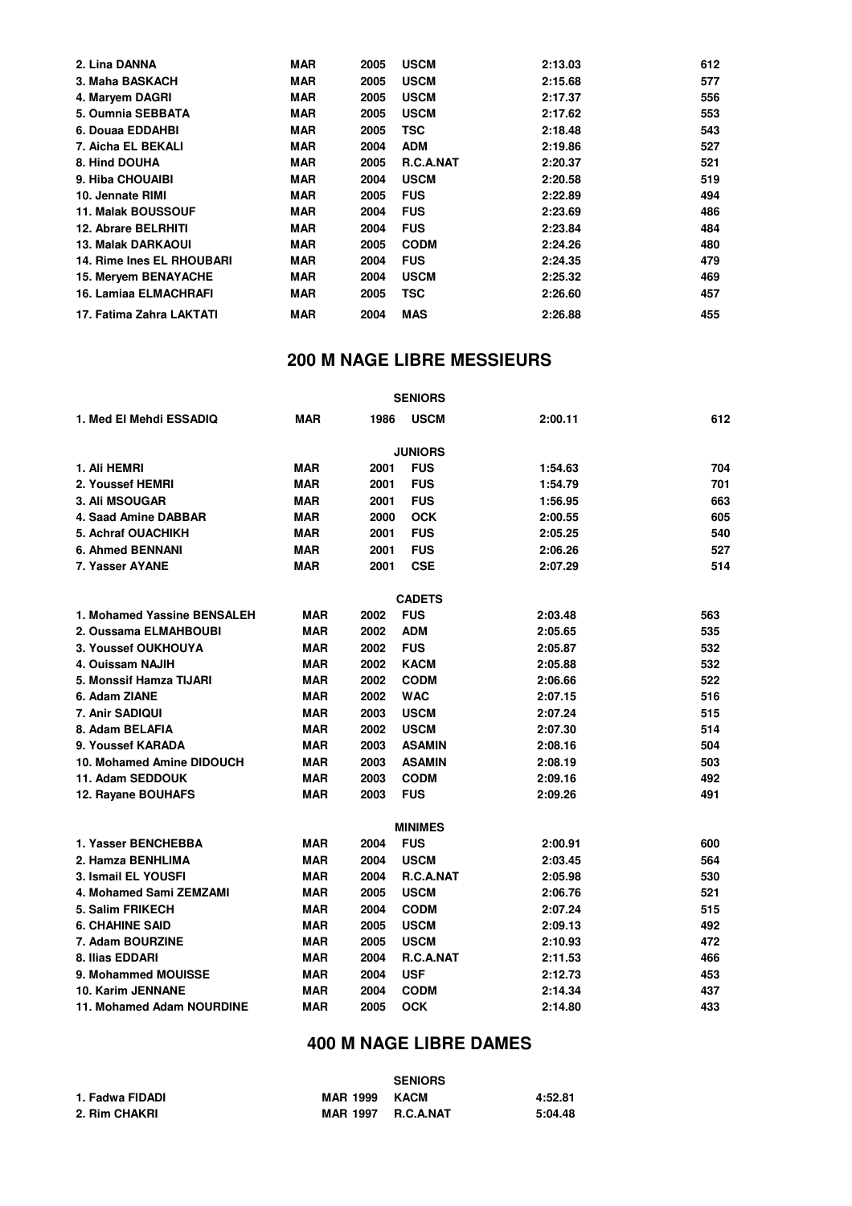| 2. Lina DANNA               | <b>MAR</b> | 2005 | <b>USCM</b> | 2:13.03 | 612 |
|-----------------------------|------------|------|-------------|---------|-----|
| 3. Maha BASKACH             | <b>MAR</b> | 2005 | <b>USCM</b> | 2:15.68 | 577 |
| 4. Maryem DAGRI             | <b>MAR</b> | 2005 | <b>USCM</b> | 2:17.37 | 556 |
| 5. Oumnia SEBBATA           | <b>MAR</b> | 2005 | <b>USCM</b> | 2:17.62 | 553 |
| 6. Douaa EDDAHBI            | <b>MAR</b> | 2005 | <b>TSC</b>  | 2:18.48 | 543 |
| 7. Aicha EL BEKALI          | <b>MAR</b> | 2004 | <b>ADM</b>  | 2:19.86 | 527 |
| 8. Hind DOUHA               | <b>MAR</b> | 2005 | R.C.A.NAT   | 2:20.37 | 521 |
| 9. Hiba CHOUAIBI            | <b>MAR</b> | 2004 | <b>USCM</b> | 2:20.58 | 519 |
| 10. Jennate RIMI            | <b>MAR</b> | 2005 | <b>FUS</b>  | 2:22.89 | 494 |
| <b>11. Malak BOUSSOUF</b>   | <b>MAR</b> | 2004 | <b>FUS</b>  | 2:23.69 | 486 |
| <b>12. Abrare BELRHITI</b>  | <b>MAR</b> | 2004 | <b>FUS</b>  | 2:23.84 | 484 |
| <b>13. Malak DARKAOUI</b>   | <b>MAR</b> | 2005 | <b>CODM</b> | 2:24.26 | 480 |
| 14. Rime Ines EL RHOUBARI   | <b>MAR</b> | 2004 | <b>FUS</b>  | 2:24.35 | 479 |
| <b>15. Mervem BENAYACHE</b> | <b>MAR</b> | 2004 | <b>USCM</b> | 2:25.32 | 469 |
| 16. Lamiaa ELMACHRAFI       | <b>MAR</b> | 2005 | TSC         | 2:26.60 | 457 |
| 17. Fatima Zahra LAKTATI    | <b>MAR</b> | 2004 | <b>MAS</b>  | 2:26.88 | 455 |

|                             |            |      | <b>SENIORS</b> |         |     |
|-----------------------------|------------|------|----------------|---------|-----|
| 1. Med El Mehdi ESSADIQ     | <b>MAR</b> | 1986 | <b>USCM</b>    | 2:00.11 | 612 |
|                             |            |      | <b>JUNIORS</b> |         |     |
| 1. Ali HEMRI                | <b>MAR</b> | 2001 | <b>FUS</b>     | 1:54.63 | 704 |
| 2. Youssef HEMRI            | <b>MAR</b> | 2001 | <b>FUS</b>     | 1:54.79 | 701 |
| <b>3. Ali MSOUGAR</b>       | <b>MAR</b> | 2001 | <b>FUS</b>     | 1:56.95 | 663 |
| 4. Saad Amine DABBAR        | <b>MAR</b> | 2000 | <b>OCK</b>     | 2:00.55 | 605 |
| 5. Achraf OUACHIKH          | <b>MAR</b> | 2001 | <b>FUS</b>     | 2:05.25 | 540 |
| 6. Ahmed BENNANI            | <b>MAR</b> | 2001 | <b>FUS</b>     | 2:06.26 | 527 |
| 7. Yasser AYANE             | <b>MAR</b> | 2001 | <b>CSE</b>     | 2:07.29 | 514 |
|                             |            |      | <b>CADETS</b>  |         |     |
| 1. Mohamed Yassine BENSALEH | <b>MAR</b> | 2002 | <b>FUS</b>     | 2:03.48 | 563 |
| 2. Oussama ELMAHBOUBI       | <b>MAR</b> | 2002 | <b>ADM</b>     | 2:05.65 | 535 |
| 3. Youssef OUKHOUYA         | <b>MAR</b> | 2002 | <b>FUS</b>     | 2:05.87 | 532 |
| 4. Ouissam NAJIH            | <b>MAR</b> | 2002 | <b>KACM</b>    | 2:05.88 | 532 |
| 5. Monssif Hamza TIJARI     | <b>MAR</b> | 2002 | <b>CODM</b>    | 2:06.66 | 522 |
| 6. Adam ZIANE               | <b>MAR</b> | 2002 | <b>WAC</b>     | 2:07.15 | 516 |
| 7. Anir SADIQUI             | <b>MAR</b> | 2003 | <b>USCM</b>    | 2:07.24 | 515 |
| 8. Adam BELAFIA             | <b>MAR</b> | 2002 | <b>USCM</b>    | 2:07.30 | 514 |
| 9. Youssef KARADA           | <b>MAR</b> | 2003 | <b>ASAMIN</b>  | 2:08.16 | 504 |
| 10. Mohamed Amine DIDOUCH   | <b>MAR</b> | 2003 | <b>ASAMIN</b>  | 2:08.19 | 503 |
| 11. Adam SEDDOUK            | <b>MAR</b> | 2003 | <b>CODM</b>    | 2:09.16 | 492 |
| 12. Rayane BOUHAFS          | <b>MAR</b> | 2003 | <b>FUS</b>     | 2:09.26 | 491 |
|                             |            |      | <b>MINIMES</b> |         |     |
| 1. Yasser BENCHEBBA         | <b>MAR</b> | 2004 | <b>FUS</b>     | 2:00.91 | 600 |
| 2. Hamza BENHLIMA           | <b>MAR</b> | 2004 | <b>USCM</b>    | 2:03.45 | 564 |
| 3. Ismail EL YOUSFI         | <b>MAR</b> | 2004 | R.C.A.NAT      | 2:05.98 | 530 |
| 4. Mohamed Sami ZEMZAMI     | <b>MAR</b> | 2005 | <b>USCM</b>    | 2:06.76 | 521 |
| 5. Salim FRIKECH            | <b>MAR</b> | 2004 | <b>CODM</b>    | 2:07.24 | 515 |
| 6. CHAHINE SAID             | <b>MAR</b> | 2005 | <b>USCM</b>    | 2:09.13 | 492 |
| 7. Adam BOURZINE            | <b>MAR</b> | 2005 | <b>USCM</b>    | 2:10.93 | 472 |
| 8. Ilias EDDARI             | <b>MAR</b> | 2004 | R.C.A.NAT      | 2:11.53 | 466 |
| 9. Mohammed MOUISSE         | <b>MAR</b> | 2004 | <b>USF</b>     | 2:12.73 | 453 |
| <b>10. Karim JENNANE</b>    | <b>MAR</b> | 2004 | <b>CODM</b>    | 2:14.34 | 437 |
| 11. Mohamed Adam NOURDINE   | <b>MAR</b> | 2005 | <b>OCK</b>     | 2:14.80 | 433 |

|                 |                           | <b>SENIORS</b> |         |
|-----------------|---------------------------|----------------|---------|
| 1. Fadwa FIDADI | <b>MAR 1999 KACM</b>      |                | 4:52.81 |
| 2. Rim CHAKRI   | <b>MAR 1997 R.C.A.NAT</b> |                | 5:04.48 |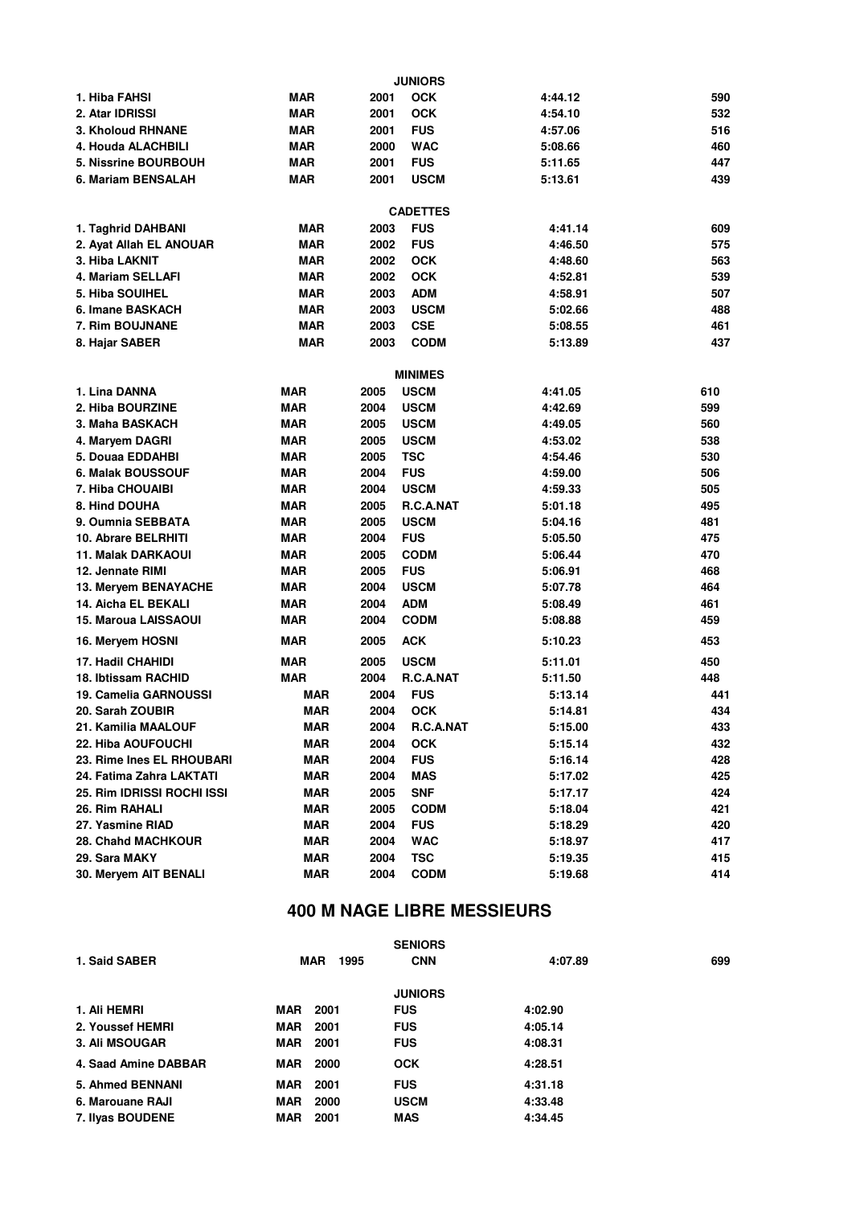|                             |            |      | <b>JUNIORS</b>  |         |     |
|-----------------------------|------------|------|-----------------|---------|-----|
| 1. Hiba FAHSI               | MAR        | 2001 | <b>OCK</b>      | 4:44.12 | 590 |
| 2. Atar IDRISSI             | <b>MAR</b> | 2001 | <b>OCK</b>      | 4:54.10 | 532 |
| 3. Kholoud RHNANE           | MAR        | 2001 | <b>FUS</b>      | 4:57.06 | 516 |
| 4. Houda ALACHBILI          | MAR        | 2000 | <b>WAC</b>      | 5:08.66 | 460 |
| <b>5. Nissrine BOURBOUH</b> | MAR        | 2001 | <b>FUS</b>      | 5:11.65 | 447 |
| 6. Mariam BENSALAH          | MAR        | 2001 | <b>USCM</b>     | 5:13.61 | 439 |
|                             |            |      |                 |         |     |
|                             |            |      | <b>CADETTES</b> |         |     |
| 1. Taghrid DAHBANI          | <b>MAR</b> | 2003 | <b>FUS</b>      | 4:41.14 | 609 |
| 2. Ayat Allah EL ANOUAR     | <b>MAR</b> | 2002 | <b>FUS</b>      | 4:46.50 | 575 |
| 3. Hiba LAKNIT              | <b>MAR</b> | 2002 | <b>OCK</b>      | 4:48.60 | 563 |
| 4. Mariam SELLAFI           | <b>MAR</b> | 2002 | <b>OCK</b>      | 4:52.81 | 539 |
| 5. Hiba SOUIHEL             | <b>MAR</b> | 2003 | <b>ADM</b>      | 4:58.91 | 507 |
| 6. Imane BASKACH            | <b>MAR</b> | 2003 | <b>USCM</b>     | 5:02.66 | 488 |
| 7. Rim BOUJNANE             | <b>MAR</b> | 2003 | <b>CSE</b>      | 5:08.55 | 461 |
| 8. Hajar SABER              | <b>MAR</b> | 2003 | <b>CODM</b>     | 5:13.89 | 437 |
|                             |            |      |                 |         |     |
|                             |            |      | <b>MINIMES</b>  |         |     |
| 1. Lina DANNA               | <b>MAR</b> | 2005 | <b>USCM</b>     | 4:41.05 | 610 |
| 2. Hiba BOURZINE            | <b>MAR</b> | 2004 | <b>USCM</b>     | 4:42.69 | 599 |
| 3. Maha BASKACH             | <b>MAR</b> | 2005 | <b>USCM</b>     | 4:49.05 | 560 |
| 4. Maryem DAGRI             | <b>MAR</b> | 2005 | <b>USCM</b>     | 4:53.02 | 538 |
| 5. Douaa EDDAHBI            | <b>MAR</b> | 2005 | <b>TSC</b>      | 4:54.46 | 530 |
| 6. Malak BOUSSOUF           | <b>MAR</b> | 2004 | <b>FUS</b>      | 4:59.00 | 506 |
| 7. Hiba CHOUAIBI            | MAR        | 2004 | <b>USCM</b>     | 4:59.33 | 505 |
| 8. Hind DOUHA               | <b>MAR</b> | 2005 | R.C.A.NAT       | 5:01.18 | 495 |
| 9. Oumnia SEBBATA           | <b>MAR</b> | 2005 | <b>USCM</b>     | 5:04.16 | 481 |
| 10. Abrare BELRHITI         | MAR        | 2004 | <b>FUS</b>      | 5:05.50 | 475 |
| 11. Malak DARKAOUI          | <b>MAR</b> | 2005 | <b>CODM</b>     | 5:06.44 | 470 |
| 12. Jennate RIMI            | <b>MAR</b> | 2005 | <b>FUS</b>      | 5:06.91 | 468 |
| 13. Meryem BENAYACHE        | <b>MAR</b> | 2004 | <b>USCM</b>     | 5:07.78 | 464 |
| 14. Aicha EL BEKALI         | <b>MAR</b> | 2004 | <b>ADM</b>      | 5:08.49 | 461 |
| 15. Maroua LAISSAOUI        | <b>MAR</b> | 2004 | <b>CODM</b>     | 5:08.88 | 459 |
| 16. Meryem HOSNI            | <b>MAR</b> | 2005 | <b>ACK</b>      | 5:10.23 | 453 |
| 17. Hadil CHAHIDI           | <b>MAR</b> | 2005 | <b>USCM</b>     | 5:11.01 | 450 |
| 18. Ibtissam RACHID         | <b>MAR</b> | 2004 | R.C.A.NAT       | 5:11.50 | 448 |
| 19. Camelia GARNOUSSI       | MAR        | 2004 | <b>FUS</b>      | 5:13.14 | 441 |
| 20. Sarah ZOUBIR            | MAR        | 2004 | <b>OCK</b>      | 5:14.81 | 434 |
| 21. Kamilia MAALOUF         | <b>MAR</b> | 2004 | R.C.A.NAT       | 5:15.00 | 433 |
| 22. Hiba AOUFOUCHI          | <b>MAR</b> | 2004 | <b>OCK</b>      | 5:15.14 | 432 |
| 23. Rime Ines EL RHOUBARI   | <b>MAR</b> | 2004 | <b>FUS</b>      | 5:16.14 | 428 |
| 24. Fatima Zahra LAKTATI    | <b>MAR</b> | 2004 | <b>MAS</b>      | 5:17.02 | 425 |
| 25. Rim IDRISSI ROCHI ISSI  | <b>MAR</b> | 2005 | <b>SNF</b>      | 5:17.17 | 424 |
| 26. Rim RAHALI              | <b>MAR</b> | 2005 | <b>CODM</b>     | 5:18.04 | 421 |
| 27. Yasmine RIAD            | <b>MAR</b> | 2004 | <b>FUS</b>      | 5:18.29 | 420 |
| 28. Chahd MACHKOUR          | <b>MAR</b> | 2004 | <b>WAC</b>      | 5:18.97 | 417 |
| 29. Sara MAKY               | <b>MAR</b> | 2004 | <b>TSC</b>      | 5:19.35 | 415 |
| 30. Meryem AIT BENALI       | <b>MAR</b> | 2004 | <b>CODM</b>     | 5:19.68 | 414 |
|                             |            |      |                 |         |     |

|                         |                    | <b>SENIORS</b> |         |     |
|-------------------------|--------------------|----------------|---------|-----|
| 1. Said SABER           | <b>MAR</b><br>1995 | <b>CNN</b>     | 4:07.89 | 699 |
|                         |                    | <b>JUNIORS</b> |         |     |
| 1. Ali HEMRI            | 2001<br><b>MAR</b> | <b>FUS</b>     | 4:02.90 |     |
| 2. Youssef HEMRI        | <b>MAR</b><br>2001 | <b>FUS</b>     | 4:05.14 |     |
| 3. Ali MSOUGAR          | MAR<br>2001        | <b>FUS</b>     | 4:08.31 |     |
| 4. Saad Amine DABBAR    | 2000<br><b>MAR</b> | <b>OCK</b>     | 4:28.51 |     |
| <b>5. Ahmed BENNANI</b> | 2001<br>MAR        | <b>FUS</b>     | 4:31.18 |     |
| 6. Marouane RAJI        | 2000<br><b>MAR</b> | <b>USCM</b>    | 4:33.48 |     |
| 7. Ilyas BOUDENE        | 2001<br>MAR        | <b>MAS</b>     | 4:34.45 |     |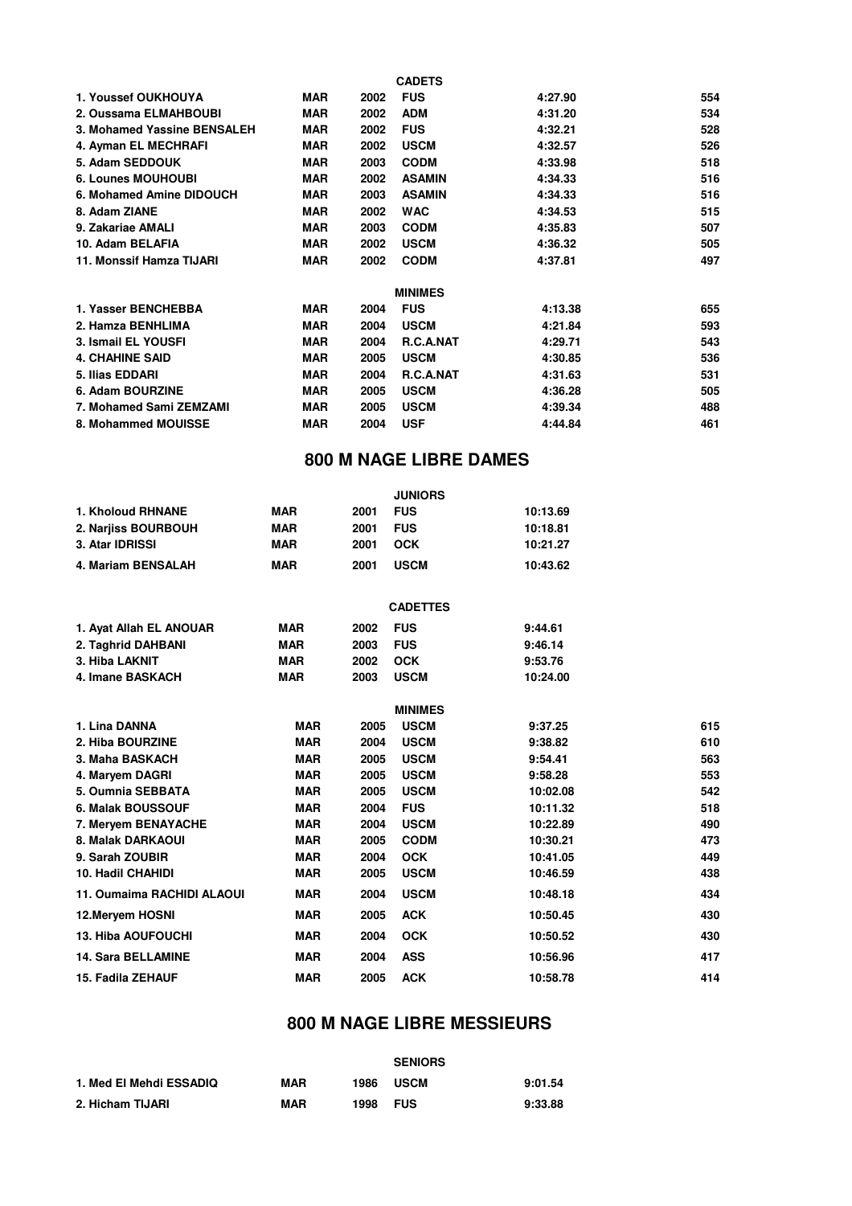|                             |            |      | <b>CADETS</b>    |         |     |
|-----------------------------|------------|------|------------------|---------|-----|
| 1. Youssef OUKHOUYA         | MAR        | 2002 | <b>FUS</b>       | 4:27.90 | 554 |
| 2. Oussama ELMAHBOUBI       | <b>MAR</b> | 2002 | <b>ADM</b>       | 4:31.20 | 534 |
| 3. Mohamed Yassine BENSALEH | <b>MAR</b> | 2002 | <b>FUS</b>       | 4:32.21 | 528 |
| 4. Ayman EL MECHRAFI        | MAR        | 2002 | <b>USCM</b>      | 4:32.57 | 526 |
| 5. Adam SEDDOUK             | <b>MAR</b> | 2003 | <b>CODM</b>      | 4:33.98 | 518 |
| <b>6. Lounes MOUHOUBI</b>   | <b>MAR</b> | 2002 | <b>ASAMIN</b>    | 4:34.33 | 516 |
| 6. Mohamed Amine DIDOUCH    | MAR        | 2003 | <b>ASAMIN</b>    | 4:34.33 | 516 |
| 8. Adam ZIANE               | <b>MAR</b> | 2002 | <b>WAC</b>       | 4:34.53 | 515 |
| 9. Zakariae AMALI           | <b>MAR</b> | 2003 | <b>CODM</b>      | 4:35.83 | 507 |
| 10. Adam BELAFIA            | <b>MAR</b> | 2002 | <b>USCM</b>      | 4:36.32 | 505 |
| 11. Monssif Hamza TIJARI    | <b>MAR</b> | 2002 | <b>CODM</b>      | 4:37.81 | 497 |
|                             |            |      | <b>MINIMES</b>   |         |     |
| 1. Yasser BENCHEBBA         | <b>MAR</b> | 2004 | <b>FUS</b>       | 4:13.38 | 655 |
| 2. Hamza BENHLIMA           | <b>MAR</b> | 2004 | <b>USCM</b>      | 4:21.84 | 593 |
| 3. Ismail EL YOUSFI         | <b>MAR</b> | 2004 | R.C.A.NAT        | 4:29.71 | 543 |
| <b>4. CHAHINE SAID</b>      | MAR        | 2005 | <b>USCM</b>      | 4:30.85 | 536 |
| 5. Ilias EDDARI             | <b>MAR</b> | 2004 | <b>R.C.A.NAT</b> | 4:31.63 | 531 |
| 6. Adam BOURZINE            | <b>MAR</b> | 2005 | <b>USCM</b>      | 4:36.28 | 505 |
| 7. Mohamed Sami ZEMZAMI     | <b>MAR</b> | 2005 | <b>USCM</b>      | 4:39.34 | 488 |
| 8. Mohammed MOUISSE         | <b>MAR</b> | 2004 | <b>USF</b>       | 4:44.84 | 461 |

#### **800 M NAGE LIBRE DAMES**

|                     |            |      | <b>JUNIORS</b> |          |
|---------------------|------------|------|----------------|----------|
| 1. Kholoud RHNANE   | MAR        | 2001 | <b>FUS</b>     | 10:13.69 |
| 2. Nariiss BOURBOUH | MAR        | 2001 | <b>FUS</b>     | 10:18.81 |
| 3. Atar IDRISSI     | MAR        | 2001 | OCK            | 10:21.27 |
| 4. Mariam BENSALAH  | <b>MAR</b> | 2001 | <b>USCM</b>    | 10:43.62 |

|                            |            |      | <b>CADETTES</b> |          |     |
|----------------------------|------------|------|-----------------|----------|-----|
| 1. Ayat Allah EL ANOUAR    | <b>MAR</b> | 2002 | <b>FUS</b>      | 9:44.61  |     |
| 2. Taghrid DAHBANI         | <b>MAR</b> | 2003 | <b>FUS</b>      | 9:46.14  |     |
| 3. Hiba LAKNIT             | <b>MAR</b> | 2002 | <b>OCK</b>      | 9:53.76  |     |
| 4. Imane BASKACH           | <b>MAR</b> | 2003 | <b>USCM</b>     | 10:24.00 |     |
|                            |            |      | <b>MINIMES</b>  |          |     |
| 1. Lina DANNA              | <b>MAR</b> | 2005 | <b>USCM</b>     | 9:37.25  | 615 |
| 2. Hiba BOURZINE           | <b>MAR</b> | 2004 | <b>USCM</b>     | 9:38.82  | 610 |
| 3. Maha BASKACH            | <b>MAR</b> | 2005 | <b>USCM</b>     | 9:54.41  | 563 |
| 4. Maryem DAGRI            | <b>MAR</b> | 2005 | <b>USCM</b>     | 9:58.28  | 553 |
| 5. Oumnia SEBBATA          | <b>MAR</b> | 2005 | <b>USCM</b>     | 10:02.08 | 542 |
| 6. Malak BOUSSOUF          | <b>MAR</b> | 2004 | <b>FUS</b>      | 10:11.32 | 518 |
| 7. Meryem BENAYACHE        | <b>MAR</b> | 2004 | <b>USCM</b>     | 10:22.89 | 490 |
| 8. Malak DARKAOUI          | <b>MAR</b> | 2005 | <b>CODM</b>     | 10:30.21 | 473 |
| 9. Sarah ZOUBIR            | <b>MAR</b> | 2004 | <b>OCK</b>      | 10:41.05 | 449 |
| 10. Hadil CHAHIDI          | <b>MAR</b> | 2005 | <b>USCM</b>     | 10:46.59 | 438 |
| 11. Oumaima RACHIDI ALAOUI | <b>MAR</b> | 2004 | <b>USCM</b>     | 10:48.18 | 434 |
| 12. Meryem HOSNI           | <b>MAR</b> | 2005 | <b>ACK</b>      | 10:50.45 | 430 |
| 13. Hiba AOUFOUCHI         | <b>MAR</b> | 2004 | <b>OCK</b>      | 10:50.52 | 430 |
| <b>14. Sara BELLAMINE</b>  | <b>MAR</b> | 2004 | <b>ASS</b>      | 10:56.96 | 417 |
| 15. Fadila ZEHAUF          | <b>MAR</b> | 2005 | <b>ACK</b>      | 10:58.78 | 414 |

#### **800 M NAGE LIBRE MESSIEURS**

|                         |     |      | <b>SENIORS</b> |         |
|-------------------------|-----|------|----------------|---------|
| 1. Med El Mehdi ESSADIQ | MAR | 1986 | <b>USCM</b>    | 9:01.54 |
| 2. Hicham TIJARI        | MAR | 1998 | <b>FUS</b>     | 9:33.88 |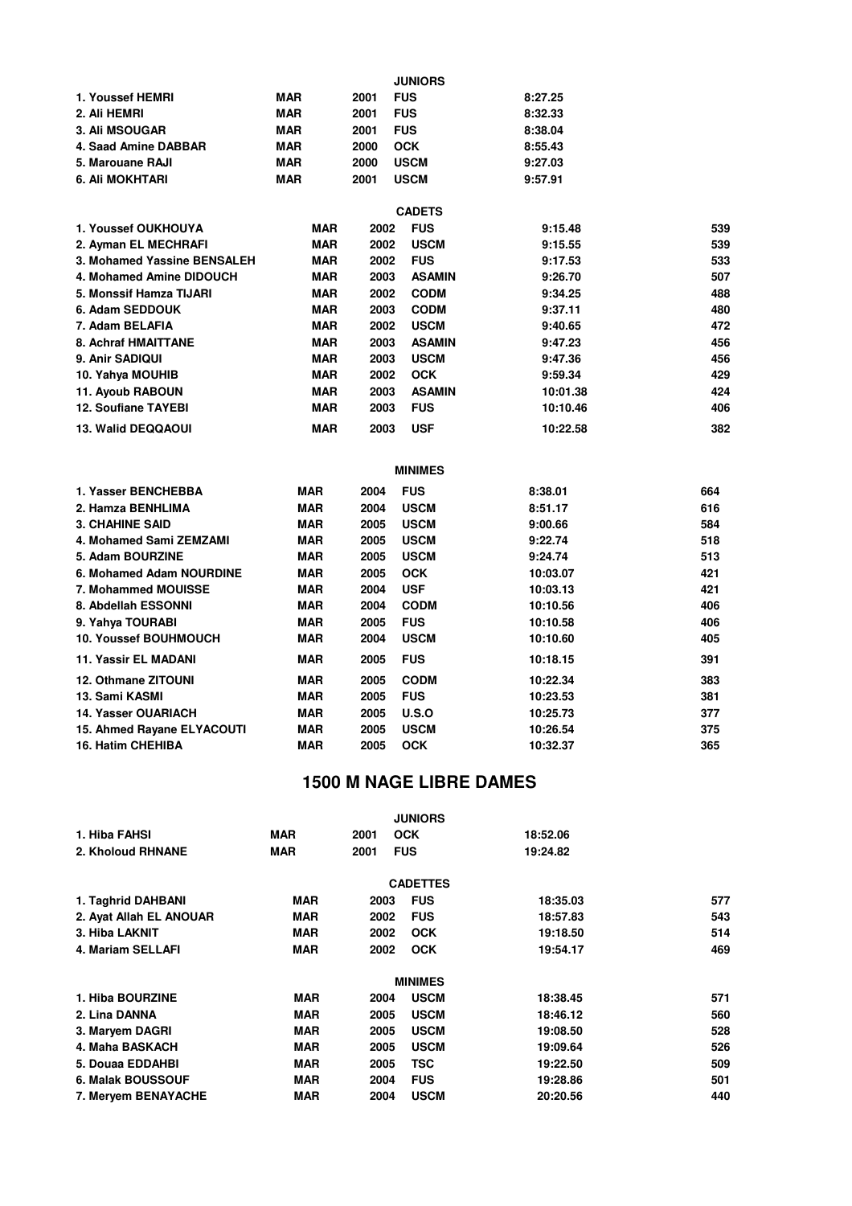|                                                |            |      | <b>JUNIORS</b>              |                      |     |
|------------------------------------------------|------------|------|-----------------------------|----------------------|-----|
| 1. Youssef HEMRI                               | <b>MAR</b> | 2001 | <b>FUS</b>                  | 8:27.25              |     |
| 2. Ali HEMRI                                   | <b>MAR</b> | 2001 | <b>FUS</b>                  | 8:32.33              |     |
| 3. Ali MSOUGAR                                 | <b>MAR</b> | 2001 | <b>FUS</b>                  | 8:38.04              |     |
| 4. Saad Amine DABBAR                           | <b>MAR</b> | 2000 | <b>OCK</b>                  | 8:55.43              |     |
| 5. Marouane RAJI                               | <b>MAR</b> | 2000 | <b>USCM</b>                 | 9:27.03              |     |
| 6. Ali MOKHTARI                                | <b>MAR</b> | 2001 | <b>USCM</b>                 | 9:57.91              |     |
|                                                |            |      |                             |                      |     |
| 1. Youssef OUKHOUYA                            | <b>MAR</b> | 2002 | <b>CADETS</b><br><b>FUS</b> | 9:15.48              | 539 |
| 2. Ayman EL MECHRAFI                           | <b>MAR</b> | 2002 | <b>USCM</b>                 | 9:15.55              | 539 |
| 3. Mohamed Yassine BENSALEH                    | <b>MAR</b> | 2002 | <b>FUS</b>                  | 9:17.53              | 533 |
| 4. Mohamed Amine DIDOUCH                       | <b>MAR</b> | 2003 | <b>ASAMIN</b>               | 9:26.70              | 507 |
| 5. Monssif Hamza TIJARI                        | <b>MAR</b> | 2002 | <b>CODM</b>                 | 9:34.25              | 488 |
| 6. Adam SEDDOUK                                | <b>MAR</b> | 2003 | <b>CODM</b>                 | 9:37.11              | 480 |
| 7. Adam BELAFIA                                | <b>MAR</b> | 2002 | <b>USCM</b>                 | 9:40.65              | 472 |
| 8. Achraf HMAITTANE                            | <b>MAR</b> | 2003 | <b>ASAMIN</b>               | 9:47.23              | 456 |
| 9. Anir SADIQUI                                | <b>MAR</b> | 2003 | <b>USCM</b>                 | 9:47.36              | 456 |
| 10. Yahya MOUHIB                               | <b>MAR</b> | 2002 | <b>OCK</b>                  | 9:59.34              | 429 |
|                                                | <b>MAR</b> | 2003 | <b>ASAMIN</b>               |                      | 424 |
| 11. Ayoub RABOUN<br><b>12. Soufiane TAYEBI</b> | <b>MAR</b> | 2003 | <b>FUS</b>                  | 10:01.38<br>10:10.46 | 406 |
|                                                |            |      |                             |                      |     |
| 13. Walid DEQQAOUI                             | <b>MAR</b> | 2003 | <b>USF</b>                  | 10:22.58             | 382 |
|                                                |            |      |                             |                      |     |
|                                                |            |      | <b>MINIMES</b>              |                      |     |
| 1. Yasser BENCHEBBA                            | <b>MAR</b> | 2004 | <b>FUS</b>                  | 8:38.01              | 664 |
| 2. Hamza BENHLIMA                              | <b>MAR</b> | 2004 | <b>USCM</b>                 | 8:51.17              | 616 |
| <b>3. CHAHINE SAID</b>                         | MAR        | 2005 | <b>USCM</b>                 | 9:00.66              | 584 |
| 4. Mohamed Sami ZEMZAMI                        | <b>MAR</b> | 2005 | <b>USCM</b>                 | 9:22.74              | 518 |
| 5. Adam BOURZINE                               | MAR        | 2005 | <b>USCM</b>                 | 9:24.74              | 513 |
| 6. Mohamed Adam NOURDINE                       | MAR        | 2005 | OCK                         | 10:03.07             | 421 |
| 7. Mohammed MOUISSE                            | <b>MAR</b> | 2004 | <b>USF</b>                  | 10:03.13             | 421 |
| 8. Abdellah ESSONNI                            | <b>MAR</b> | 2004 | <b>CODM</b>                 | 10:10.56             | 406 |
| 9. Yahya TOURABI                               | MAR        | 2005 | <b>FUS</b>                  | 10:10.58             | 406 |
| 10. Youssef BOUHMOUCH                          | MAR        | 2004 | <b>USCM</b>                 | 10:10.60             | 405 |
| <b>11. Yassir EL MADANI</b>                    | <b>MAR</b> | 2005 | <b>FUS</b>                  | 10:18.15             | 391 |
| <b>12. Othmane ZITOUNI</b>                     | <b>MAR</b> | 2005 | <b>CODM</b>                 | 10:22.34             | 383 |
| 13. Sami KASMI                                 | <b>MAR</b> | 2005 | <b>FUS</b>                  | 10:23.53             | 381 |
| 14. Yasser OUARIACH                            | MAR        | 2005 | <b>U.S.O</b>                | 10:25.73             | 377 |
| 15. Ahmed Rayane ELYACOUTI                     | <b>MAR</b> | 2005 | <b>USCM</b>                 | 10:26.54             | 375 |
| <b>16. Hatim CHEHIBA</b>                       | <b>MAR</b> | 2005 | <b>OCK</b>                  | 10:32.37             | 365 |

|                         |            |      | <b>JUNIORS</b>  |          |     |
|-------------------------|------------|------|-----------------|----------|-----|
| 1. Hiba FAHSI           | <b>MAR</b> | 2001 | <b>OCK</b>      | 18:52.06 |     |
| 2. Kholoud RHNANE       | <b>MAR</b> | 2001 | <b>FUS</b>      | 19:24.82 |     |
|                         |            |      | <b>CADETTES</b> |          |     |
| 1. Taghrid DAHBANI      | <b>MAR</b> | 2003 | <b>FUS</b>      | 18:35.03 | 577 |
| 2. Ayat Allah EL ANOUAR | <b>MAR</b> | 2002 | <b>FUS</b>      | 18:57.83 | 543 |
| 3. Hiba LAKNIT          | <b>MAR</b> | 2002 | <b>OCK</b>      | 19:18.50 | 514 |
| 4. Mariam SELLAFI       | <b>MAR</b> | 2002 | <b>OCK</b>      | 19:54.17 | 469 |
|                         |            |      | <b>MINIMES</b>  |          |     |
| 1. Hiba BOURZINE        | <b>MAR</b> | 2004 | <b>USCM</b>     | 18:38.45 | 571 |
| 2. Lina DANNA           | <b>MAR</b> | 2005 | <b>USCM</b>     | 18:46.12 | 560 |
| 3. Maryem DAGRI         | <b>MAR</b> | 2005 | <b>USCM</b>     | 19:08.50 | 528 |
| 4. Maha BASKACH         | MAR        | 2005 | <b>USCM</b>     | 19:09.64 | 526 |
| 5. Douaa EDDAHBI        | MAR        | 2005 | TSC             | 19:22.50 | 509 |
| 6. Malak BOUSSOUF       | MAR        | 2004 | <b>FUS</b>      | 19:28.86 | 501 |
| 7. Meryem BENAYACHE     | MAR        | 2004 | <b>USCM</b>     | 20:20.56 | 440 |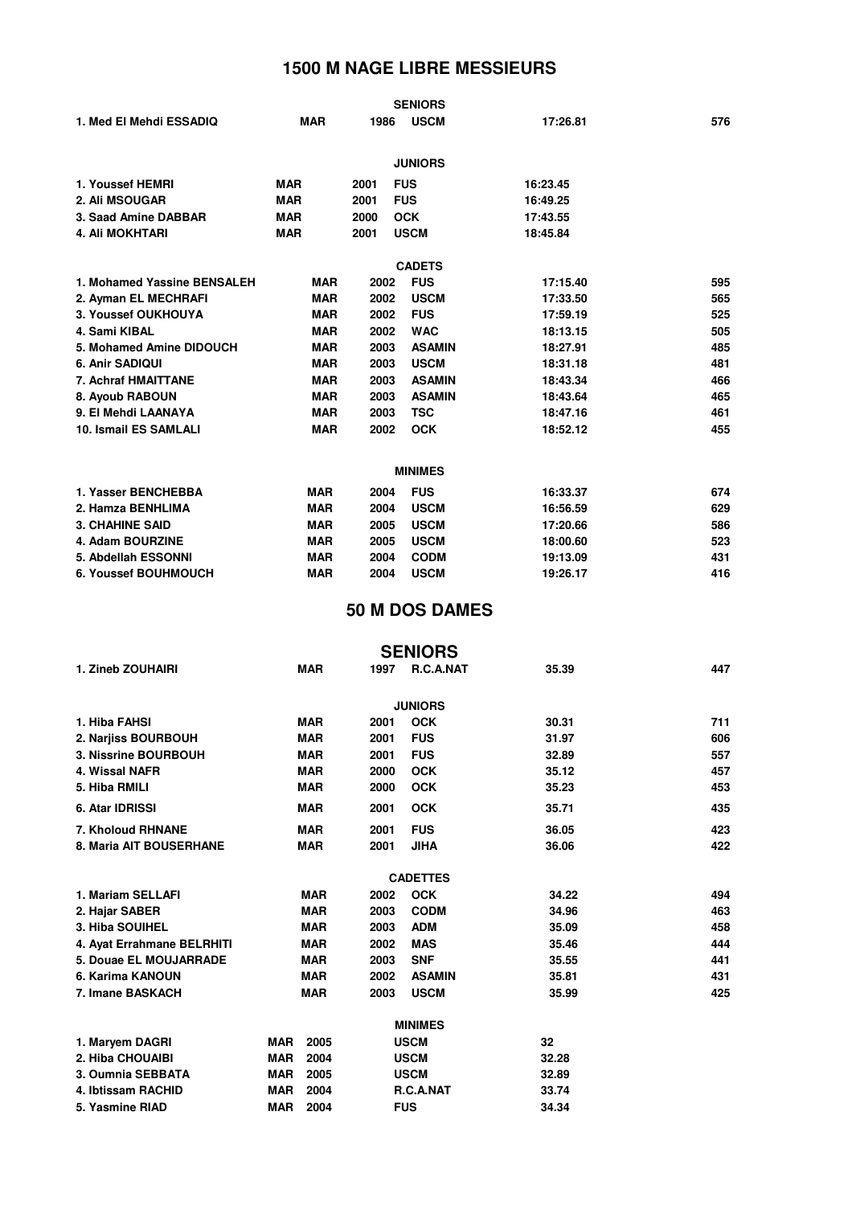| 1. Med El Mehdi ESSADIQ     | <b>MAR</b> | 1986 | <b>SENIORS</b><br><b>USCM</b> | 17:26.81 | 576 |
|-----------------------------|------------|------|-------------------------------|----------|-----|
|                             |            |      | <b>JUNIORS</b>                |          |     |
| 1. Youssef HEMRI            | <b>MAR</b> | 2001 | <b>FUS</b>                    | 16:23.45 |     |
| 2. Ali MSOUGAR              | <b>MAR</b> | 2001 | <b>FUS</b>                    | 16:49.25 |     |
| 3. Saad Amine DABBAR        | <b>MAR</b> | 2000 | <b>OCK</b>                    | 17:43.55 |     |
| <b>4. Ali MOKHTARI</b>      | <b>MAR</b> | 2001 | <b>USCM</b>                   | 18:45.84 |     |
|                             |            |      | <b>CADETS</b>                 |          |     |
| 1. Mohamed Yassine BENSALEH | <b>MAR</b> | 2002 | <b>FUS</b>                    | 17:15.40 | 595 |
| 2. Ayman EL MECHRAFI        | <b>MAR</b> | 2002 | <b>USCM</b>                   | 17:33.50 | 565 |
| 3. Youssef OUKHOUYA         | <b>MAR</b> | 2002 | <b>FUS</b>                    | 17:59.19 | 525 |
| 4. Sami KIBAL               | <b>MAR</b> | 2002 | <b>WAC</b>                    | 18:13.15 | 505 |
| 5. Mohamed Amine DIDOUCH    | <b>MAR</b> | 2003 | <b>ASAMIN</b>                 | 18:27.91 | 485 |
| 6. Anir SADIQUI             | <b>MAR</b> | 2003 | <b>USCM</b>                   | 18:31.18 | 481 |
| 7. Achraf HMAITTANE         | <b>MAR</b> | 2003 | <b>ASAMIN</b>                 | 18:43.34 | 466 |
| 8. Ayoub RABOUN             | <b>MAR</b> | 2003 | <b>ASAMIN</b>                 | 18:43.64 | 465 |
| 9. El Mehdi LAANAYA         | <b>MAR</b> | 2003 | <b>TSC</b>                    | 18:47.16 | 461 |
| 10. Ismail ES SAMLALI       | <b>MAR</b> | 2002 | <b>OCK</b>                    | 18:52.12 | 455 |
|                             |            |      |                               |          |     |
|                             |            |      | <b>MINIMES</b>                |          |     |
| 1. Yasser BENCHEBBA         | <b>MAR</b> | 2004 | <b>FUS</b>                    | 16:33.37 | 674 |
| 2. Hamza BENHLIMA           | <b>MAR</b> | 2004 | <b>USCM</b>                   | 16:56.59 | 629 |
| <b>3. CHAHINE SAID</b>      | <b>MAR</b> | 2005 | <b>USCM</b>                   | 17:20.66 | 586 |
| 4. Adam BOURZINE            | <b>MAR</b> | 2005 | <b>USCM</b>                   | 18:00.60 | 523 |
| 5. Abdellah ESSONNI         | <b>MAR</b> | 2004 | <b>CODM</b>                   | 19:13.09 | 431 |
| <b>6. Youssef BOUHMOUCH</b> | <b>MAR</b> | 2004 | <b>USCM</b>                   | 19:26.17 | 416 |

### **50 M DOS DAMES**

|                            |                    |      | <b>SENIORS</b>  |       |     |
|----------------------------|--------------------|------|-----------------|-------|-----|
| 1. Zineb ZOUHAIRI          | <b>MAR</b>         | 1997 | R.C.A.NAT       | 35.39 | 447 |
|                            |                    |      |                 |       |     |
|                            |                    |      | <b>JUNIORS</b>  |       |     |
| 1. Hiba FAHSI              | <b>MAR</b>         | 2001 | <b>OCK</b>      | 30.31 | 711 |
| 2. Narjiss BOURBOUH        | <b>MAR</b>         | 2001 | <b>FUS</b>      | 31.97 | 606 |
| 3. Nissrine BOURBOUH       | <b>MAR</b>         | 2001 | <b>FUS</b>      | 32.89 | 557 |
| 4. Wissal NAFR             | <b>MAR</b>         | 2000 | <b>OCK</b>      | 35.12 | 457 |
| 5. Hiba RMILI              | <b>MAR</b>         | 2000 | <b>OCK</b>      | 35.23 | 453 |
| 6. Atar IDRISSI            | <b>MAR</b>         | 2001 | <b>OCK</b>      | 35.71 | 435 |
| 7. Kholoud RHNANE          | <b>MAR</b>         | 2001 | <b>FUS</b>      | 36.05 | 423 |
| 8. Maria AIT BOUSERHANE    | <b>MAR</b>         | 2001 | <b>JIHA</b>     | 36.06 | 422 |
|                            |                    |      |                 |       |     |
|                            |                    |      | <b>CADETTES</b> |       |     |
| 1. Mariam SELLAFI          | <b>MAR</b>         | 2002 | <b>OCK</b>      | 34.22 | 494 |
| 2. Hajar SABER             | <b>MAR</b>         | 2003 | <b>CODM</b>     | 34.96 | 463 |
| 3. Hiba SOUIHEL            | <b>MAR</b>         | 2003 | <b>ADM</b>      | 35.09 | 458 |
| 4. Ayat Errahmane BELRHITI | <b>MAR</b>         | 2002 | <b>MAS</b>      | 35.46 | 444 |
| 5. Douae EL MOUJARRADE     | <b>MAR</b>         | 2003 | <b>SNF</b>      | 35.55 | 441 |
| 6. Karima KANOUN           | <b>MAR</b>         | 2002 | <b>ASAMIN</b>   | 35.81 | 431 |
| 7. Imane BASKACH           | <b>MAR</b>         | 2003 | <b>USCM</b>     | 35.99 | 425 |
|                            |                    |      | <b>MINIMES</b>  |       |     |
|                            |                    |      |                 |       |     |
| 1. Maryem DAGRI            | <b>MAR</b><br>2005 |      | <b>USCM</b>     | 32    |     |
| 2. Hiba CHOUAIBI           | <b>MAR</b><br>2004 |      | <b>USCM</b>     | 32.28 |     |
| 3. Oumnia SEBBATA          | <b>MAR</b><br>2005 |      | <b>USCM</b>     | 32.89 |     |
| 4. Ibtissam RACHID         | <b>MAR</b><br>2004 |      | R.C.A.NAT       | 33.74 |     |
| 5. Yasmine RIAD            | 2004<br><b>MAR</b> |      | <b>FUS</b>      | 34.34 |     |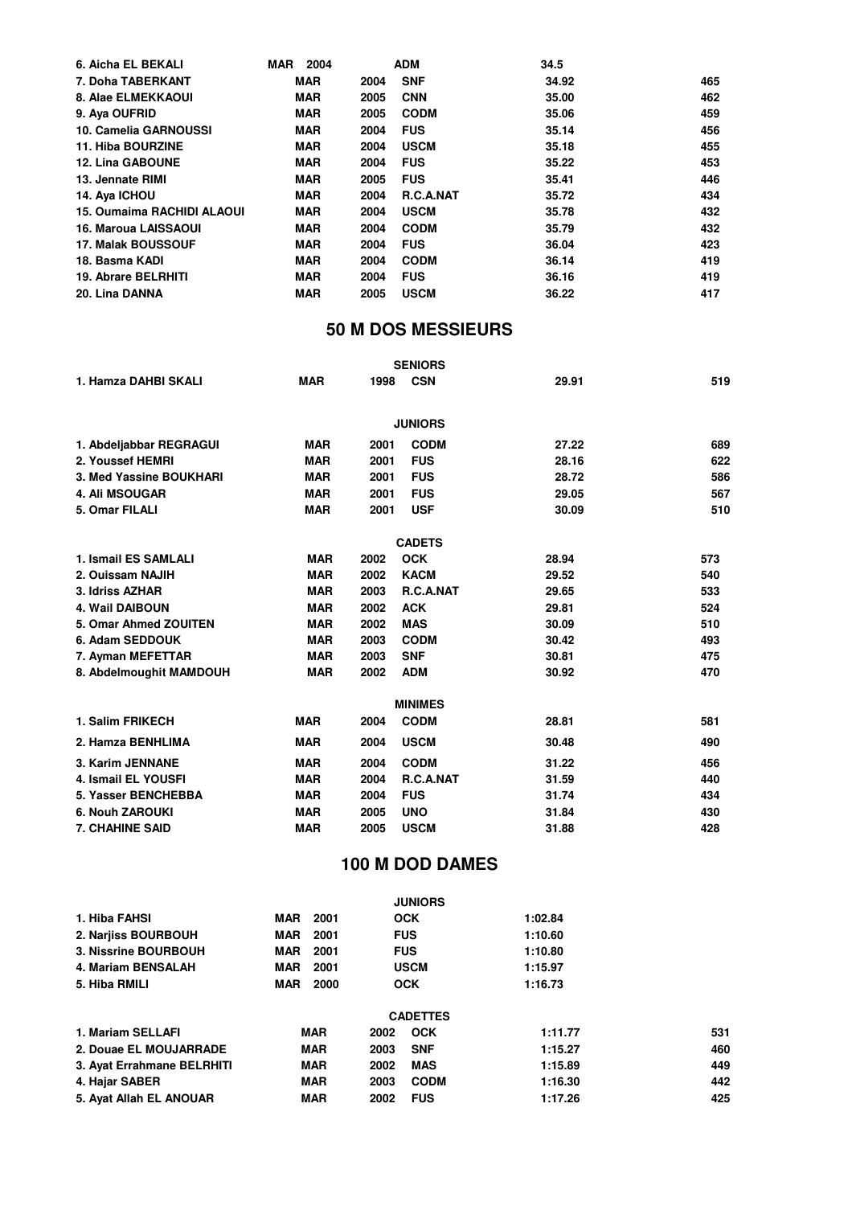| 6. Aicha EL BEKALI                | <b>MAR</b><br>2004 | <b>ADM</b>               | 34.5  |     |
|-----------------------------------|--------------------|--------------------------|-------|-----|
| 7. Doha TABERKANT                 | <b>MAR</b>         | <b>SNF</b><br>2004       | 34.92 | 465 |
| 8. Alae ELMEKKAOUI                | <b>MAR</b>         | <b>CNN</b><br>2005       | 35.00 | 462 |
| 9. Ava OUFRID                     | <b>MAR</b>         | <b>CODM</b><br>2005      | 35.06 | 459 |
| 10. Camelia GARNOUSSI             | <b>MAR</b>         | <b>FUS</b><br>2004       | 35.14 | 456 |
| 11. Hiba BOURZINE                 | <b>MAR</b>         | <b>USCM</b><br>2004      | 35.18 | 455 |
| <b>12. Lina GABOUNE</b>           | <b>MAR</b>         | <b>FUS</b><br>2004       | 35.22 | 453 |
| 13. Jennate RIMI                  | <b>MAR</b>         | <b>FUS</b><br>2005       | 35.41 | 446 |
| 14. Aya ICHOU                     | <b>MAR</b>         | <b>R.C.A.NAT</b><br>2004 | 35.72 | 434 |
| <b>15. Oumaima RACHIDI ALAOUI</b> | <b>MAR</b>         | <b>USCM</b><br>2004      | 35.78 | 432 |
| <b>16. Maroua LAISSAOUI</b>       | <b>MAR</b>         | <b>CODM</b><br>2004      | 35.79 | 432 |
| <b>17. Malak BOUSSOUF</b>         | <b>MAR</b>         | <b>FUS</b><br>2004       | 36.04 | 423 |
| 18. Basma KADI                    | <b>MAR</b>         | <b>CODM</b><br>2004      | 36.14 | 419 |
| <b>19. Abrare BELRHITI</b>        | <b>MAR</b>         | <b>FUS</b><br>2004       | 36.16 | 419 |
| 20. Lina DANNA                    | <b>MAR</b>         | <b>USCM</b><br>2005      | 36.22 | 417 |

# **50 M DOS MESSIEURS**

|                         |            |      | <b>SENIORS</b> |       |     |
|-------------------------|------------|------|----------------|-------|-----|
| 1. Hamza DAHBI SKALI    | <b>MAR</b> | 1998 | <b>CSN</b>     | 29.91 | 519 |
|                         |            |      | <b>JUNIORS</b> |       |     |
| 1. Abdeljabbar REGRAGUI | <b>MAR</b> | 2001 | <b>CODM</b>    | 27.22 | 689 |
| 2. Youssef HEMRI        | <b>MAR</b> | 2001 | <b>FUS</b>     | 28.16 | 622 |
| 3. Med Yassine BOUKHARI | <b>MAR</b> | 2001 | <b>FUS</b>     | 28.72 | 586 |
| <b>4. Ali MSOUGAR</b>   | <b>MAR</b> | 2001 | <b>FUS</b>     | 29.05 | 567 |
| 5. Omar FILALI          | <b>MAR</b> | 2001 | <b>USF</b>     | 30.09 | 510 |
|                         |            |      | <b>CADETS</b>  |       |     |
| 1. Ismail ES SAMLALI    | <b>MAR</b> | 2002 | <b>OCK</b>     | 28.94 | 573 |
| 2. Ouissam NAJIH        | <b>MAR</b> | 2002 | <b>KACM</b>    | 29.52 | 540 |
| 3. Idriss AZHAR         | <b>MAR</b> | 2003 | R.C.A.NAT      | 29.65 | 533 |
| <b>4. Wail DAIBOUN</b>  | <b>MAR</b> | 2002 | <b>ACK</b>     | 29.81 | 524 |
| 5. Omar Ahmed ZOUITEN   | <b>MAR</b> | 2002 | <b>MAS</b>     | 30.09 | 510 |
| 6. Adam SEDDOUK         | <b>MAR</b> | 2003 | <b>CODM</b>    | 30.42 | 493 |
| 7. Ayman MEFETTAR       | <b>MAR</b> | 2003 | <b>SNF</b>     | 30.81 | 475 |
| 8. Abdelmoughit MAMDOUH | <b>MAR</b> | 2002 | <b>ADM</b>     | 30.92 | 470 |
|                         |            |      | <b>MINIMES</b> |       |     |
| 1. Salim FRIKECH        | <b>MAR</b> | 2004 | <b>CODM</b>    | 28.81 | 581 |
| 2. Hamza BENHLIMA       | <b>MAR</b> | 2004 | <b>USCM</b>    | 30.48 | 490 |
| 3. Karim JENNANE        | <b>MAR</b> | 2004 | <b>CODM</b>    | 31.22 | 456 |
| 4. Ismail EL YOUSFI     | <b>MAR</b> | 2004 | R.C.A.NAT      | 31.59 | 440 |
| 5. Yasser BENCHEBBA     | <b>MAR</b> | 2004 | <b>FUS</b>     | 31.74 | 434 |
| <b>6. Nouh ZAROUKI</b>  | <b>MAR</b> | 2005 | <b>UNO</b>     | 31.84 | 430 |
| <b>7. CHAHINE SAID</b>  | <b>MAR</b> | 2005 | <b>USCM</b>    | 31.88 | 428 |

# **100 M DOD DAMES**

|                            |                    | <b>JUNIORS</b>      |         |     |
|----------------------------|--------------------|---------------------|---------|-----|
| 1. Hiba FAHSI              | MAR<br>2001        | <b>OCK</b>          | 1:02.84 |     |
| 2. Nariiss BOURBOUH        | MAR<br>2001        | <b>FUS</b>          | 1:10.60 |     |
| 3. Nissrine BOURBOUH       | <b>MAR</b><br>2001 | <b>FUS</b>          | 1:10.80 |     |
| 4. Mariam BENSALAH         | MAR<br>2001        | <b>USCM</b>         | 1:15.97 |     |
| 5. Hiba RMILI              | 2000<br>MAR        | <b>OCK</b>          | 1:16.73 |     |
|                            |                    | <b>CADETTES</b>     |         |     |
| 1. Mariam SELLAFI          | <b>MAR</b>         | <b>OCK</b><br>2002  | 1:11.77 | 531 |
| 2. Douae EL MOUJARRADE     | <b>MAR</b>         | <b>SNF</b><br>2003  | 1:15.27 | 460 |
| 3. Ayat Errahmane BELRHITI | <b>MAR</b>         | <b>MAS</b><br>2002  | 1:15.89 | 449 |
| 4. Hajar SABER             | <b>MAR</b>         | <b>CODM</b><br>2003 | 1:16.30 | 442 |
| 5. Ayat Allah EL ANOUAR    | <b>MAR</b>         | <b>FUS</b><br>2002  | 1:17.26 | 425 |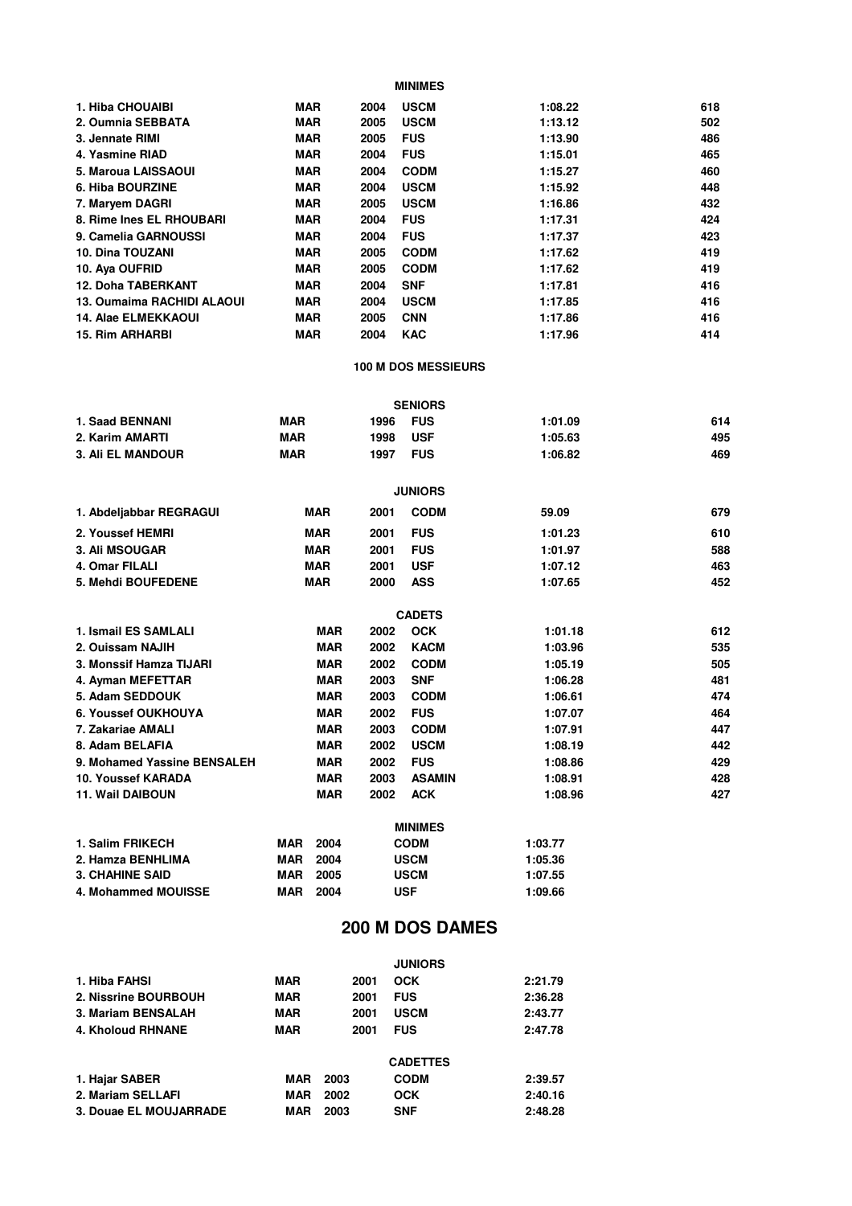| 1. Hiba CHOUAIBI           | <b>MAR</b> | 2004 | <b>USCM</b> | 1:08.22 | 618 |
|----------------------------|------------|------|-------------|---------|-----|
| 2. Oumnia SEBBATA          | <b>MAR</b> | 2005 | <b>USCM</b> | 1:13.12 | 502 |
| 3. Jennate RIMI            | <b>MAR</b> | 2005 | <b>FUS</b>  | 1:13.90 | 486 |
| 4. Yasmine RIAD            | <b>MAR</b> | 2004 | <b>FUS</b>  | 1:15.01 | 465 |
| 5. Maroua LAISSAOUI        | <b>MAR</b> | 2004 | <b>CODM</b> | 1:15.27 | 460 |
| 6. Hiba BOURZINE           | <b>MAR</b> | 2004 | <b>USCM</b> | 1:15.92 | 448 |
| 7. Maryem DAGRI            | <b>MAR</b> | 2005 | <b>USCM</b> | 1:16.86 | 432 |
| 8. Rime Ines EL RHOUBARI   | <b>MAR</b> | 2004 | <b>FUS</b>  | 1:17.31 | 424 |
| 9. Camelia GARNOUSSI       | <b>MAR</b> | 2004 | <b>FUS</b>  | 1:17.37 | 423 |
| <b>10. Dina TOUZANI</b>    | <b>MAR</b> | 2005 | <b>CODM</b> | 1:17.62 | 419 |
| 10. Aya OUFRID             | <b>MAR</b> | 2005 | <b>CODM</b> | 1:17.62 | 419 |
| <b>12. Doha TABERKANT</b>  | <b>MAR</b> | 2004 | <b>SNF</b>  | 1:17.81 | 416 |
| 13. Oumaima RACHIDI ALAOUI | <b>MAR</b> | 2004 | <b>USCM</b> | 1:17.85 | 416 |
| <b>14. Alae ELMEKKAOUI</b> | <b>MAR</b> | 2005 | <b>CNN</b>  | 1:17.86 | 416 |
| <b>15. Rim ARHARBI</b>     | <b>MAR</b> | 2004 | <b>KAC</b>  | 1:17.96 | 414 |

#### **100 M DOS MESSIEURS**

|                             |            |            |      | <b>SENIORS</b> |         |     |
|-----------------------------|------------|------------|------|----------------|---------|-----|
| 1. Saad BENNANI             | <b>MAR</b> |            | 1996 | <b>FUS</b>     | 1:01.09 | 614 |
| 2. Karim AMARTI             | <b>MAR</b> |            | 1998 | <b>USF</b>     | 1:05.63 | 495 |
| <b>3. Ali EL MANDOUR</b>    | <b>MAR</b> |            | 1997 | <b>FUS</b>     | 1:06.82 | 469 |
|                             |            |            |      | <b>JUNIORS</b> |         |     |
| 1. Abdeljabbar REGRAGUI     |            | <b>MAR</b> | 2001 | <b>CODM</b>    | 59.09   | 679 |
| 2. Youssef HEMRI            |            | <b>MAR</b> | 2001 | <b>FUS</b>     | 1:01.23 | 610 |
| 3. Ali MSOUGAR              |            | <b>MAR</b> | 2001 | <b>FUS</b>     | 1:01.97 | 588 |
| 4. Omar FILALI              |            | <b>MAR</b> | 2001 | <b>USF</b>     | 1:07.12 | 463 |
| 5. Mehdi BOUFEDENE          |            | <b>MAR</b> | 2000 | <b>ASS</b>     | 1:07.65 | 452 |
|                             |            |            |      | <b>CADETS</b>  |         |     |
| 1. Ismail ES SAMLALI        |            | <b>MAR</b> | 2002 | <b>OCK</b>     | 1:01.18 | 612 |
| 2. Ouissam NAJIH            |            | <b>MAR</b> | 2002 | <b>KACM</b>    | 1:03.96 | 535 |
| 3. Monssif Hamza TIJARI     |            | <b>MAR</b> | 2002 | <b>CODM</b>    | 1:05.19 | 505 |
| 4. Ayman MEFETTAR           |            | <b>MAR</b> | 2003 | <b>SNF</b>     | 1:06.28 | 481 |
| 5. Adam SEDDOUK             |            | <b>MAR</b> | 2003 | <b>CODM</b>    | 1:06.61 | 474 |
| 6. Youssef OUKHOUYA         |            | <b>MAR</b> | 2002 | <b>FUS</b>     | 1:07.07 | 464 |
| 7. Zakariae AMALI           |            | <b>MAR</b> | 2003 | <b>CODM</b>    | 1:07.91 | 447 |
| 8. Adam BELAFIA             |            | <b>MAR</b> | 2002 | <b>USCM</b>    | 1:08.19 | 442 |
| 9. Mohamed Yassine BENSALEH |            | <b>MAR</b> | 2002 | <b>FUS</b>     | 1:08.86 | 429 |
| 10. Youssef KARADA          |            | <b>MAR</b> | 2003 | <b>ASAMIN</b>  | 1:08.91 | 428 |
| <b>11. Wail DAIBOUN</b>     |            | <b>MAR</b> | 2002 | <b>ACK</b>     | 1:08.96 | 427 |
|                             |            |            |      | <b>MINIMES</b> |         |     |
| 1. Salim FRIKECH            | <b>MAR</b> | 2004       |      | <b>CODM</b>    | 1:03.77 |     |
| 2. Hamza BENHLIMA           | <b>MAR</b> | 2004       |      | <b>USCM</b>    | 1:05.36 |     |

#### **200 M DOS DAMES**

|                        |            |      | <b>JUNIORS</b>  |         |
|------------------------|------------|------|-----------------|---------|
| 1. Hiba FAHSI          | <b>MAR</b> | 2001 | <b>OCK</b>      | 2:21.79 |
| 2. Nissrine BOURBOUH   | <b>MAR</b> | 2001 | <b>FUS</b>      | 2:36.28 |
| 3. Mariam BENSALAH     | <b>MAR</b> | 2001 | <b>USCM</b>     | 2:43.77 |
| 4. Kholoud RHNANE      | <b>MAR</b> | 2001 | <b>FUS</b>      | 2:47.78 |
|                        |            |      | <b>CADETTES</b> |         |
| 1. Hajar SABER         | MAR        | 2003 | <b>CODM</b>     | 2:39.57 |
| 2. Mariam SELLAFI      | MAR        | 2002 | <b>OCK</b>      | 2:40.16 |
| 3. Douae EL MOUJARRADE | MAR        | 2003 | <b>SNF</b>      | 2:48.28 |

**4. Mohammed MOUISSE MAR 2004 USF 1:09.66 3. CHAHINE SAID MAR 2005 USCM 1:07.55**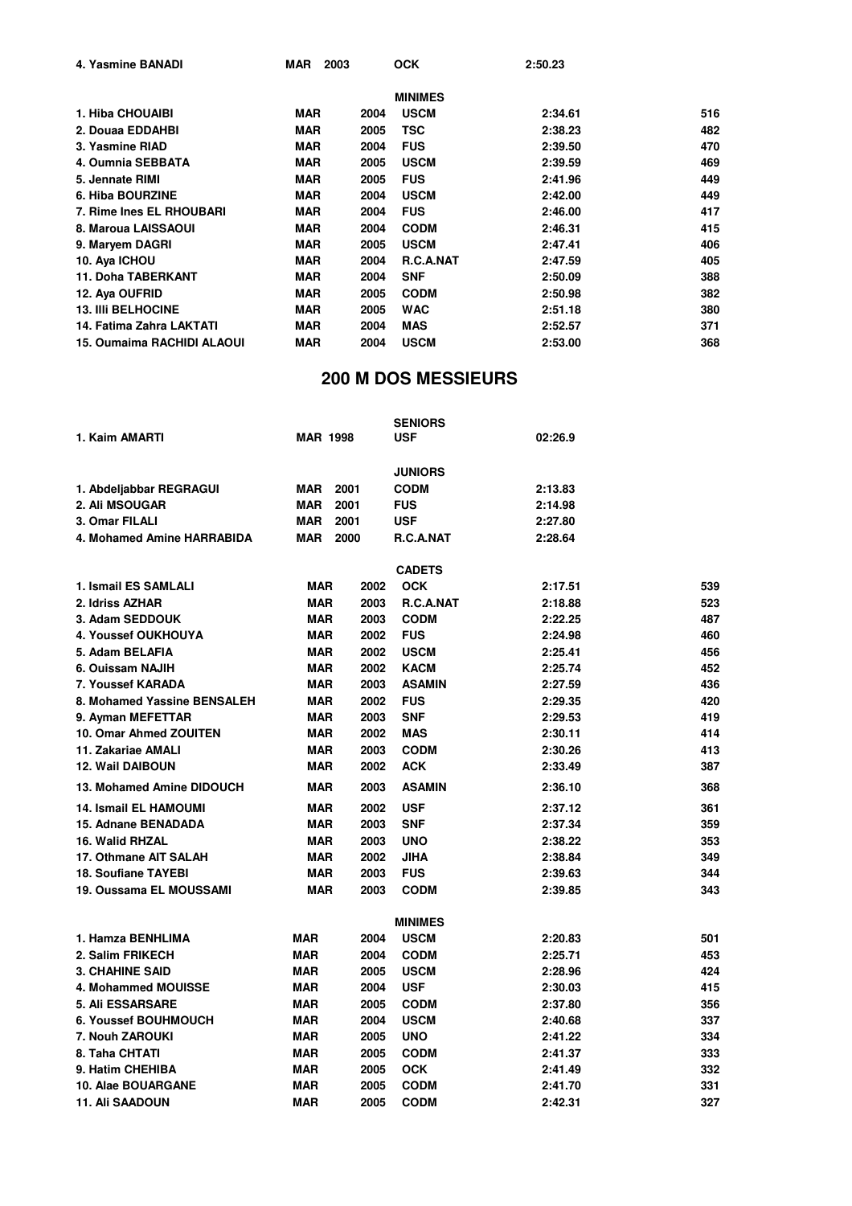| 4. Yasmine BANADI                 | MAR<br>2003 |      | <b>OCK</b>       | 2:50.23 |     |
|-----------------------------------|-------------|------|------------------|---------|-----|
|                                   |             |      | <b>MINIMES</b>   |         |     |
| 1. Hiba CHOUAIBI                  | <b>MAR</b>  | 2004 | <b>USCM</b>      | 2:34.61 | 516 |
| 2. Douaa EDDAHBI                  | <b>MAR</b>  | 2005 | TSC              | 2:38.23 | 482 |
| 3. Yasmine RIAD                   | <b>MAR</b>  | 2004 | <b>FUS</b>       | 2:39.50 | 470 |
| 4. Oumnia SEBBATA                 | <b>MAR</b>  | 2005 | <b>USCM</b>      | 2:39.59 | 469 |
| 5. Jennate RIMI                   | <b>MAR</b>  | 2005 | <b>FUS</b>       | 2:41.96 | 449 |
| 6. Hiba BOURZINE                  | <b>MAR</b>  | 2004 | <b>USCM</b>      | 2:42.00 | 449 |
| 7. Rime Ines EL RHOUBARI          | <b>MAR</b>  | 2004 | <b>FUS</b>       | 2:46.00 | 417 |
| 8. Maroua LAISSAOUI               | <b>MAR</b>  | 2004 | <b>CODM</b>      | 2:46.31 | 415 |
| 9. Maryem DAGRI                   | <b>MAR</b>  | 2005 | <b>USCM</b>      | 2:47.41 | 406 |
| 10. Aya ICHOU                     | <b>MAR</b>  | 2004 | <b>R.C.A.NAT</b> | 2:47.59 | 405 |
| <b>11. Doha TABERKANT</b>         | <b>MAR</b>  | 2004 | <b>SNF</b>       | 2:50.09 | 388 |
| 12. Aya OUFRID                    | <b>MAR</b>  | 2005 | <b>CODM</b>      | 2:50.98 | 382 |
| <b>13. IIII BELHOCINE</b>         | <b>MAR</b>  | 2005 | <b>WAC</b>       | 2:51.18 | 380 |
| 14. Fatima Zahra LAKTATI          | <b>MAR</b>  | 2004 | <b>MAS</b>       | 2:52.57 | 371 |
| <b>15. Oumaima RACHIDI ALAOUI</b> | <b>MAR</b>  | 2004 | <b>USCM</b>      | 2:53.00 | 368 |

# **200 M DOS MESSIEURS**

|                              |                    |      | <b>SENIORS</b> |         |     |
|------------------------------|--------------------|------|----------------|---------|-----|
| 1. Kaim AMARTI               | <b>MAR 1998</b>    |      | <b>USF</b>     | 02:26.9 |     |
|                              |                    |      | <b>JUNIORS</b> |         |     |
| 1. Abdeljabbar REGRAGUI      | 2001<br>MAR        |      | <b>CODM</b>    | 2:13.83 |     |
| <b>2. Ali MSOUGAR</b>        | <b>MAR</b><br>2001 |      | <b>FUS</b>     | 2:14.98 |     |
| 3. Omar FILALI               | <b>MAR</b><br>2001 |      | <b>USF</b>     | 2:27.80 |     |
| 4. Mohamed Amine HARRABIDA   | <b>MAR</b><br>2000 |      | R.C.A.NAT      | 2:28.64 |     |
|                              |                    |      |                |         |     |
|                              |                    |      | <b>CADETS</b>  |         |     |
| 1. Ismail ES SAMLALI         | <b>MAR</b>         | 2002 | <b>OCK</b>     | 2:17.51 | 539 |
| 2. Idriss AZHAR              | <b>MAR</b>         | 2003 | R.C.A.NAT      | 2:18.88 | 523 |
| 3. Adam SEDDOUK              | <b>MAR</b>         | 2003 | <b>CODM</b>    | 2:22.25 | 487 |
| 4. Youssef OUKHOUYA          | <b>MAR</b>         | 2002 | <b>FUS</b>     | 2:24.98 | 460 |
| 5. Adam BELAFIA              | <b>MAR</b>         | 2002 | <b>USCM</b>    | 2:25.41 | 456 |
| 6. Ouissam NAJIH             | <b>MAR</b>         | 2002 | <b>KACM</b>    | 2:25.74 | 452 |
| 7. Youssef KARADA            | <b>MAR</b>         | 2003 | <b>ASAMIN</b>  | 2:27.59 | 436 |
| 8. Mohamed Yassine BENSALEH  | <b>MAR</b>         | 2002 | <b>FUS</b>     | 2:29.35 | 420 |
| 9. Ayman MEFETTAR            | <b>MAR</b>         | 2003 | <b>SNF</b>     | 2:29.53 | 419 |
| 10. Omar Ahmed ZOUITEN       | <b>MAR</b>         | 2002 | <b>MAS</b>     | 2:30.11 | 414 |
| 11. Zakariae AMALI           | <b>MAR</b>         | 2003 | <b>CODM</b>    | 2:30.26 | 413 |
| <b>12. Wail DAIBOUN</b>      | <b>MAR</b>         | 2002 | <b>ACK</b>     | 2:33.49 | 387 |
| 13. Mohamed Amine DIDOUCH    | <b>MAR</b>         | 2003 | <b>ASAMIN</b>  | 2:36.10 | 368 |
| <b>14. Ismail EL HAMOUMI</b> | <b>MAR</b>         | 2002 | <b>USF</b>     | 2:37.12 | 361 |
| <b>15. Adnane BENADADA</b>   | <b>MAR</b>         | 2003 | <b>SNF</b>     | 2:37.34 | 359 |
| 16. Walid RHZAL              | <b>MAR</b>         | 2003 | <b>UNO</b>     | 2:38.22 | 353 |
| 17. Othmane AIT SALAH        | <b>MAR</b>         | 2002 | <b>JIHA</b>    | 2:38.84 | 349 |
| <b>18. Soufiane TAYEBI</b>   | <b>MAR</b>         | 2003 | <b>FUS</b>     | 2:39.63 | 344 |
| 19. Oussama EL MOUSSAMI      | <b>MAR</b>         | 2003 | <b>CODM</b>    | 2:39.85 | 343 |
|                              |                    |      | <b>MINIMES</b> |         |     |
| 1. Hamza BENHLIMA            | <b>MAR</b>         | 2004 | <b>USCM</b>    | 2:20.83 | 501 |
| 2. Salim FRIKECH             | <b>MAR</b>         | 2004 | <b>CODM</b>    | 2:25.71 | 453 |
| <b>3. CHAHINE SAID</b>       | <b>MAR</b>         | 2005 | <b>USCM</b>    | 2:28.96 | 424 |
| 4. Mohammed MOUISSE          | <b>MAR</b>         | 2004 | <b>USF</b>     | 2:30.03 | 415 |
| <b>5. Ali ESSARSARE</b>      | <b>MAR</b>         | 2005 | <b>CODM</b>    | 2:37.80 | 356 |
| <b>6. Youssef BOUHMOUCH</b>  | <b>MAR</b>         | 2004 | <b>USCM</b>    | 2:40.68 | 337 |
| 7. Nouh ZAROUKI              | MAR                | 2005 | <b>UNO</b>     | 2:41.22 | 334 |
| 8. Taha CHTATI               | <b>MAR</b>         | 2005 | <b>CODM</b>    | 2:41.37 | 333 |
| 9. Hatim CHEHIBA             | <b>MAR</b>         | 2005 | <b>OCK</b>     | 2:41.49 | 332 |
| 10. Alae BOUARGANE           | <b>MAR</b>         | 2005 | <b>CODM</b>    | 2:41.70 | 331 |
| <b>11. Ali SAADOUN</b>       | <b>MAR</b>         | 2005 | <b>CODM</b>    | 2:42.31 | 327 |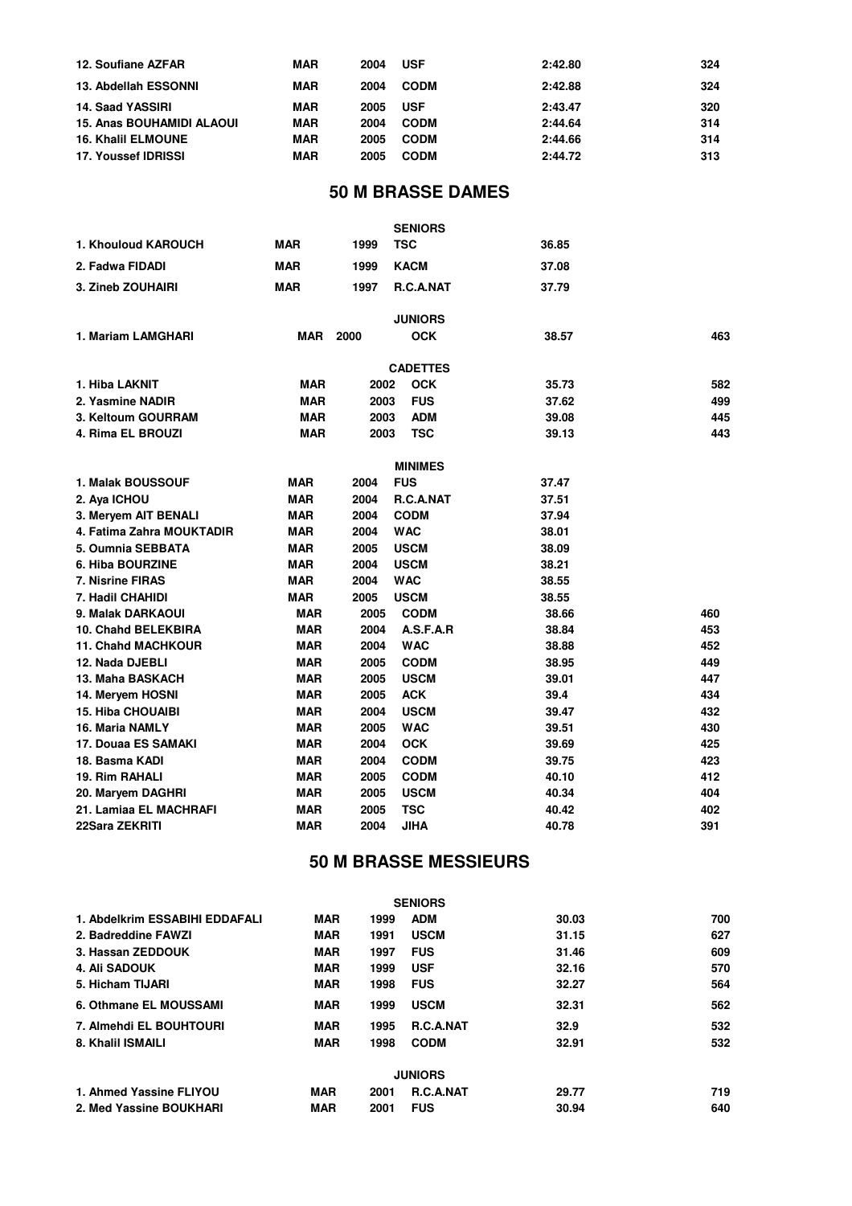| 12. Soufiane AZFAR               | <b>MAR</b> | 2004 | <b>USF</b>  | 2:42.80 | 324 |
|----------------------------------|------------|------|-------------|---------|-----|
| 13. Abdellah ESSONNI             | <b>MAR</b> | 2004 | <b>CODM</b> | 2:42.88 | 324 |
| <b>14. Saad YASSIRI</b>          | <b>MAR</b> | 2005 | <b>USF</b>  | 2:43.47 | 320 |
| <b>15. Anas BOUHAMIDI ALAOUI</b> | <b>MAR</b> | 2004 | <b>CODM</b> | 2:44.64 | 314 |
| <b>16. Khalil ELMOUNE</b>        | <b>MAR</b> | 2005 | <b>CODM</b> | 2:44.66 | 314 |
| 17. Youssef IDRISSI              | <b>MAR</b> | 2005 | <b>CODM</b> | 2:44.72 | 313 |

# **50 M BRASSE DAMES**

|                           |            |      | <b>SENIORS</b>  |       |     |
|---------------------------|------------|------|-----------------|-------|-----|
| 1. Khouloud KAROUCH       | <b>MAR</b> | 1999 | <b>TSC</b>      | 36.85 |     |
| 2. Fadwa FIDADI           | <b>MAR</b> | 1999 | <b>KACM</b>     | 37.08 |     |
| <b>3. Zineb ZOUHAIRI</b>  | <b>MAR</b> | 1997 | R.C.A.NAT       | 37.79 |     |
|                           |            |      | <b>JUNIORS</b>  |       |     |
| 1. Mariam LAMGHARI        | <b>MAR</b> | 2000 | <b>OCK</b>      | 38.57 | 463 |
|                           |            |      | <b>CADETTES</b> |       |     |
| 1. Hiba LAKNIT            | <b>MAR</b> | 2002 | <b>OCK</b>      | 35.73 | 582 |
| 2. Yasmine NADIR          | <b>MAR</b> | 2003 | <b>FUS</b>      | 37.62 | 499 |
| 3. Keltoum GOURRAM        | <b>MAR</b> | 2003 | <b>ADM</b>      | 39.08 | 445 |
| 4. Rima EL BROUZI         | <b>MAR</b> | 2003 | <b>TSC</b>      | 39.13 | 443 |
|                           |            |      | <b>MINIMES</b>  |       |     |
| <b>1. Malak BOUSSOUF</b>  | <b>MAR</b> | 2004 | <b>FUS</b>      | 37.47 |     |
| 2. Aya ICHOU              | <b>MAR</b> | 2004 | R.C.A.NAT       | 37.51 |     |
| 3. Mervem AIT BENALI      | <b>MAR</b> | 2004 | <b>CODM</b>     | 37.94 |     |
| 4. Fatima Zahra MOUKTADIR | <b>MAR</b> | 2004 | <b>WAC</b>      | 38.01 |     |
| 5. Oumnia SEBBATA         | <b>MAR</b> | 2005 | <b>USCM</b>     | 38.09 |     |
| 6. Hiba BOURZINE          | <b>MAR</b> | 2004 | <b>USCM</b>     | 38.21 |     |
| 7. Nisrine FIRAS          | <b>MAR</b> | 2004 | <b>WAC</b>      | 38.55 |     |
| 7. Hadil CHAHIDI          | <b>MAR</b> | 2005 | <b>USCM</b>     | 38.55 |     |
| 9. Malak DARKAOUI         | <b>MAR</b> | 2005 | <b>CODM</b>     | 38.66 | 460 |
| 10. Chahd BELEKBIRA       | <b>MAR</b> | 2004 | A.S.F.A.R       | 38.84 | 453 |
| <b>11. Chahd MACHKOUR</b> | <b>MAR</b> | 2004 | <b>WAC</b>      | 38.88 | 452 |
| 12. Nada DJEBLI           | <b>MAR</b> | 2005 | <b>CODM</b>     | 38.95 | 449 |
| 13. Maha BASKACH          | <b>MAR</b> | 2005 | <b>USCM</b>     | 39.01 | 447 |
| 14. Meryem HOSNI          | <b>MAR</b> | 2005 | <b>ACK</b>      | 39.4  | 434 |
| <b>15. Hiba CHOUAIBI</b>  | <b>MAR</b> | 2004 | <b>USCM</b>     | 39.47 | 432 |
| 16. Maria NAMLY           | <b>MAR</b> | 2005 | <b>WAC</b>      | 39.51 | 430 |
| 17. Douaa ES SAMAKI       | <b>MAR</b> | 2004 | <b>OCK</b>      | 39.69 | 425 |
| 18. Basma KADI            | <b>MAR</b> | 2004 | <b>CODM</b>     | 39.75 | 423 |
| 19. Rim RAHALI            | <b>MAR</b> | 2005 | <b>CODM</b>     | 40.10 | 412 |
| 20. Maryem DAGHRI         | <b>MAR</b> | 2005 | <b>USCM</b>     | 40.34 | 404 |
| 21. Lamiaa EL MACHRAFI    | <b>MAR</b> | 2005 | <b>TSC</b>      | 40.42 | 402 |
| 22Sara ZEKRITI            | <b>MAR</b> | 2004 | JIHA            | 40.78 | 391 |

# **50 M BRASSE MESSIEURS**

|                                |            |      | <b>SENIORS</b>   |       |     |
|--------------------------------|------------|------|------------------|-------|-----|
| 1. Abdelkrim ESSABIHI EDDAFALI | <b>MAR</b> | 1999 | <b>ADM</b>       | 30.03 | 700 |
| 2. Badreddine FAWZI            | <b>MAR</b> | 1991 | <b>USCM</b>      | 31.15 | 627 |
| 3. Hassan ZEDDOUK              | <b>MAR</b> | 1997 | <b>FUS</b>       | 31.46 | 609 |
| <b>4. Ali SADOUK</b>           | <b>MAR</b> | 1999 | <b>USF</b>       | 32.16 | 570 |
| 5. Hicham TIJARI               | <b>MAR</b> | 1998 | <b>FUS</b>       | 32.27 | 564 |
| 6. Othmane EL MOUSSAMI         | <b>MAR</b> | 1999 | <b>USCM</b>      | 32.31 | 562 |
| 7. Almehdi EL BOUHTOURI        | <b>MAR</b> | 1995 | <b>R.C.A.NAT</b> | 32.9  | 532 |
| 8. Khalil ISMAILI              | <b>MAR</b> | 1998 | <b>CODM</b>      | 32.91 | 532 |
|                                |            |      | <b>JUNIORS</b>   |       |     |
| 1. Ahmed Yassine FLIYOU        | <b>MAR</b> | 2001 | <b>R.C.A.NAT</b> | 29.77 | 719 |
| 2. Med Yassine BOUKHARI        | <b>MAR</b> | 2001 | <b>FUS</b>       | 30.94 | 640 |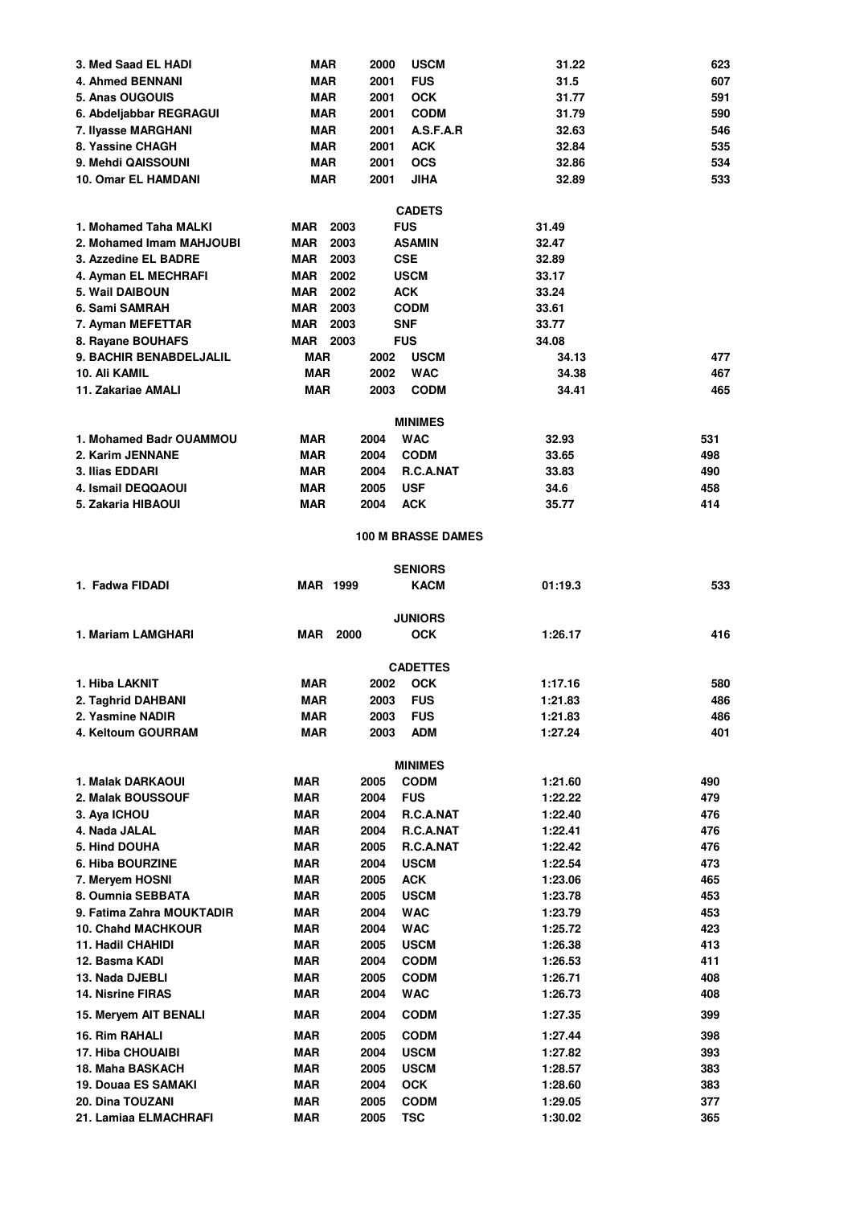| 3. Med Saad EL HADI                    | MAR                | <b>USCM</b><br>2000                   | 31.22              | 623        |
|----------------------------------------|--------------------|---------------------------------------|--------------------|------------|
| 4. Ahmed BENNANI                       | <b>MAR</b>         | <b>FUS</b><br>2001                    | 31.5               | 607        |
| 5. Anas OUGOUIS                        | <b>MAR</b>         | <b>OCK</b><br>2001                    | 31.77              | 591        |
| 6. Abdeljabbar REGRAGUI                | <b>MAR</b>         | <b>CODM</b><br>2001                   | 31.79              | 590        |
| 7. Ilyasse MARGHANI                    | <b>MAR</b>         | 2001<br>A.S.F.A.R                     | 32.63              | 546        |
| 8. Yassine CHAGH                       | <b>MAR</b>         | 2001<br><b>ACK</b>                    | 32.84              | 535        |
| 9. Mehdi QAISSOUNI                     | <b>MAR</b>         | 2001<br><b>OCS</b>                    | 32.86              | 534        |
| 10. Omar EL HAMDANI                    | <b>MAR</b>         | 2001<br><b>JIHA</b>                   | 32.89              | 533        |
|                                        |                    | <b>CADETS</b>                         |                    |            |
| 1. Mohamed Taha MALKI                  | 2003<br>MAR        | <b>FUS</b>                            | 31.49              |            |
| 2. Mohamed Imam MAHJOUBI               | <b>MAR</b><br>2003 | <b>ASAMIN</b>                         | 32.47              |            |
| 3. Azzedine EL BADRE                   | 2003<br>MAR        | <b>CSE</b>                            | 32.89              |            |
| 4. Ayman EL MECHRAFI                   | MAR<br>2002        | <b>USCM</b>                           | 33.17              |            |
| 5. Wail DAIBOUN                        | 2002<br>MAR        | <b>ACK</b>                            | 33.24              |            |
| 6. Sami SAMRAH                         | MAR<br>2003        | <b>CODM</b>                           | 33.61              |            |
| 7. Ayman MEFETTAR                      | <b>MAR</b><br>2003 | <b>SNF</b>                            | 33.77              |            |
| 8. Rayane BOUHAFS                      | MAR 2003           | <b>FUS</b>                            | 34.08              |            |
| 9. BACHIR BENABDELJALIL                | <b>MAR</b>         | 2002<br><b>USCM</b>                   | 34.13              | 477        |
| 10. Ali KAMIL                          | <b>MAR</b>         | 2002<br><b>WAC</b>                    | 34.38              | 467        |
| 11. Zakariae AMALI                     | <b>MAR</b>         | 2003<br><b>CODM</b>                   | 34.41              | 465        |
|                                        |                    | <b>MINIMES</b>                        |                    |            |
| 1. Mohamed Badr OUAMMOU                | MAR                | <b>WAC</b><br>2004                    | 32.93              | 531        |
| 2. Karim JENNANE                       | MAR                | 2004<br><b>CODM</b>                   | 33.65              | 498        |
| 3. Ilias EDDARI                        | MAR                | 2004<br><b>R.C.A.NAT</b>              | 33.83              | 490        |
| 4. Ismail DEQQAOUI                     | <b>MAR</b>         | 2005<br><b>USF</b>                    | 34.6               | 458        |
| 5. Zakaria HIBAOUI                     | MAR                | 2004<br><b>ACK</b>                    | 35.77              | 414        |
|                                        |                    |                                       |                    |            |
|                                        |                    | <b>100 M BRASSE DAMES</b>             |                    |            |
|                                        |                    | <b>SENIORS</b>                        |                    |            |
| 1. Fadwa FIDADI                        | <b>MAR 1999</b>    | <b>KACM</b>                           | 01:19.3            | 533        |
|                                        |                    |                                       |                    |            |
|                                        |                    | <b>JUNIORS</b>                        |                    |            |
| 1. Mariam LAMGHARI                     | MAR<br>2000        | <b>OCK</b>                            | 1:26.17            | 416        |
|                                        |                    | <b>CADETTES</b>                       |                    |            |
| 1. Hiba LAKNIT                         | MAR                | 2002<br><b>OCK</b>                    | 1:17.16            | 580        |
| 2. Taghrid DAHBANI                     | <b>MAR</b>         | <b>FUS</b><br>2003                    | 1:21.83            | 486        |
| 2. Yasmine NADIR                       | <b>MAR</b>         | 2003<br><b>FUS</b>                    | 1:21.83            | 486        |
| 4. Keltoum GOURRAM                     | <b>MAR</b>         | 2003<br><b>ADM</b>                    | 1:27.24            | 401        |
|                                        |                    |                                       |                    |            |
|                                        |                    | <b>MINIMES</b><br>2005<br><b>CODM</b> |                    |            |
| 1. Malak DARKAOUI<br>2. Malak BOUSSOUF | MAR<br><b>MAR</b>  | 2004<br><b>FUS</b>                    | 1:21.60<br>1:22.22 | 490<br>479 |
|                                        | <b>MAR</b>         | 2004<br>R.C.A.NAT                     |                    | 476        |
| 3. Aya ICHOU<br>4. Nada JALAL          | <b>MAR</b>         | 2004<br>R.C.A.NAT                     | 1:22.40<br>1:22.41 | 476        |
| 5. Hind DOUHA                          | <b>MAR</b>         | 2005<br>R.C.A.NAT                     | 1:22.42            | 476        |
| 6. Hiba BOURZINE                       | <b>MAR</b>         | 2004<br><b>USCM</b>                   | 1:22.54            | 473        |
| 7. Meryem HOSNI                        | <b>MAR</b>         | 2005<br><b>ACK</b>                    | 1:23.06            | 465        |
| 8. Oumnia SEBBATA                      | <b>MAR</b>         | 2005<br><b>USCM</b>                   | 1:23.78            | 453        |
| 9. Fatima Zahra MOUKTADIR              | <b>MAR</b>         | 2004<br><b>WAC</b>                    | 1:23.79            | 453        |
| <b>10. Chahd MACHKOUR</b>              | <b>MAR</b>         | 2004<br><b>WAC</b>                    | 1:25.72            | 423        |
| 11. Hadil CHAHIDI                      | <b>MAR</b>         | 2005<br><b>USCM</b>                   | 1:26.38            | 413        |
| 12. Basma KADI                         | <b>MAR</b>         | 2004<br><b>CODM</b>                   | 1:26.53            | 411        |
| 13. Nada DJEBLI                        | <b>MAR</b>         | 2005<br><b>CODM</b>                   | 1:26.71            | 408        |
| 14. Nisrine FIRAS                      | <b>MAR</b>         | 2004<br><b>WAC</b>                    | 1:26.73            | 408        |
| 15. Meryem AIT BENALI                  | <b>MAR</b>         | 2004<br><b>CODM</b>                   | 1:27.35            | 399        |
| 16. Rim RAHALI                         | <b>MAR</b>         | 2005<br><b>CODM</b>                   | 1:27.44            | 398        |
| 17. Hiba CHOUAIBI                      | <b>MAR</b>         | 2004<br><b>USCM</b>                   | 1:27.82            | 393        |
| 18. Maha BASKACH                       | <b>MAR</b>         | 2005<br><b>USCM</b>                   | 1:28.57            | 383        |
| 19. Douaa ES SAMAKI                    | <b>MAR</b>         | 2004<br><b>OCK</b>                    | 1:28.60            | 383        |
| 20. Dina TOUZANI                       | <b>MAR</b>         | 2005<br><b>CODM</b>                   | 1:29.05            | 377        |
| 21. Lamiaa ELMACHRAFI                  | <b>MAR</b>         | 2005<br><b>TSC</b>                    | 1:30.02            | 365        |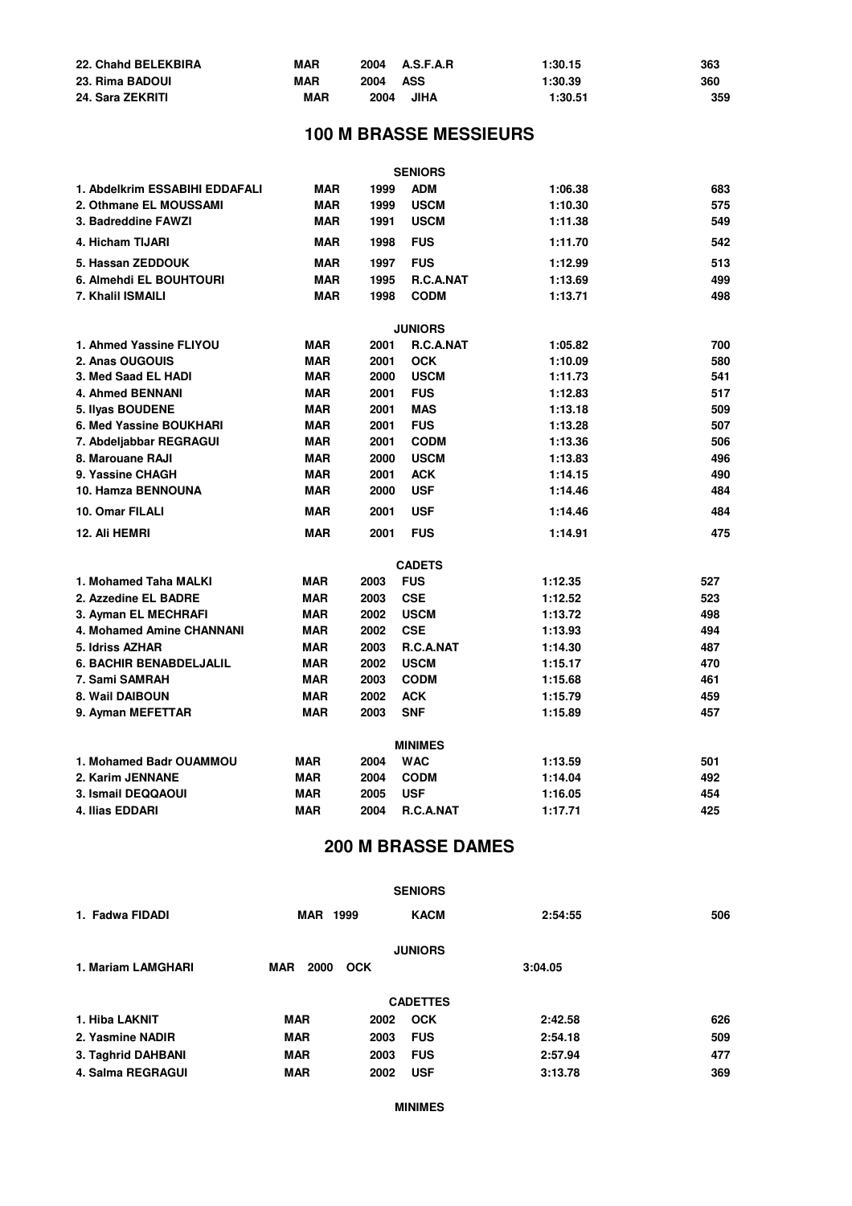| 22. Chahd BELEKBIRA | <b>MAR</b> |          | 2004 A.S.F.A.R | 1:30.15 | 363 |
|---------------------|------------|----------|----------------|---------|-----|
| 23. Rima BADOUI     | <b>MAR</b> | 2004 ASS |                | 1:30.39 | 360 |
| 24. Sara ZEKRITI    | <b>MAR</b> | 2004     | <b>JIHA</b>    | 1:30.51 | 359 |

# **100 M BRASSE MESSIEURS**

|                                |            |      | <b>SENIORS</b>            |         |     |
|--------------------------------|------------|------|---------------------------|---------|-----|
| 1. Abdelkrim ESSABIHI EDDAFALI | <b>MAR</b> | 1999 | <b>ADM</b>                | 1:06.38 | 683 |
| 2. Othmane EL MOUSSAMI         | <b>MAR</b> | 1999 | <b>USCM</b>               | 1:10.30 | 575 |
| 3. Badreddine FAWZI            | <b>MAR</b> | 1991 | <b>USCM</b>               | 1:11.38 | 549 |
| 4. Hicham TIJARI               | <b>MAR</b> | 1998 | <b>FUS</b>                | 1:11.70 | 542 |
| 5. Hassan ZEDDOUK              | <b>MAR</b> | 1997 | <b>FUS</b>                | 1:12.99 | 513 |
| 6. Almehdi EL BOUHTOURI        | <b>MAR</b> | 1995 | R.C.A.NAT                 | 1:13.69 | 499 |
| 7. Khalil ISMAILI              | <b>MAR</b> | 1998 | <b>CODM</b>               | 1:13.71 | 498 |
|                                |            |      | <b>JUNIORS</b>            |         |     |
| 1. Ahmed Yassine FLIYOU        | <b>MAR</b> | 2001 | R.C.A.NAT                 | 1:05.82 | 700 |
| 2. Anas OUGOUIS                | <b>MAR</b> | 2001 | <b>OCK</b>                | 1:10.09 | 580 |
| 3. Med Saad EL HADI            | <b>MAR</b> | 2000 | <b>USCM</b>               | 1:11.73 | 541 |
| 4. Ahmed BENNANI               | <b>MAR</b> | 2001 | <b>FUS</b>                | 1:12.83 | 517 |
| 5. Ilyas BOUDENE               | <b>MAR</b> | 2001 | <b>MAS</b>                | 1:13.18 | 509 |
| 6. Med Yassine BOUKHARI        | <b>MAR</b> | 2001 | <b>FUS</b>                | 1:13.28 | 507 |
| 7. Abdeljabbar REGRAGUI        | <b>MAR</b> | 2001 | <b>CODM</b>               | 1:13.36 | 506 |
| 8. Marouane RAJI               | <b>MAR</b> | 2000 | <b>USCM</b>               | 1:13.83 | 496 |
| 9. Yassine CHAGH               | <b>MAR</b> | 2001 | <b>ACK</b>                | 1:14.15 | 490 |
| 10. Hamza BENNOUNA             | <b>MAR</b> | 2000 | <b>USF</b>                | 1:14.46 | 484 |
| 10. Omar FILALI                | <b>MAR</b> | 2001 | <b>USF</b>                | 1:14.46 | 484 |
| 12. Ali HEMRI                  | <b>MAR</b> | 2001 | <b>FUS</b>                | 1:14.91 | 475 |
|                                |            |      | <b>CADETS</b>             |         |     |
| 1. Mohamed Taha MALKI          | <b>MAR</b> | 2003 | <b>FUS</b>                | 1:12.35 | 527 |
| 2. Azzedine EL BADRE           | <b>MAR</b> | 2003 | <b>CSE</b>                | 1:12.52 | 523 |
| 3. Ayman EL MECHRAFI           | <b>MAR</b> | 2002 | <b>USCM</b>               | 1:13.72 | 498 |
| 4. Mohamed Amine CHANNANI      | <b>MAR</b> | 2002 | <b>CSE</b>                | 1:13.93 | 494 |
| 5. Idriss AZHAR                | <b>MAR</b> | 2003 | R.C.A.NAT                 | 1:14.30 | 487 |
| <b>6. BACHIR BENABDELJALIL</b> | <b>MAR</b> | 2002 | <b>USCM</b>               | 1:15.17 | 470 |
| 7. Sami SAMRAH                 | <b>MAR</b> | 2003 | <b>CODM</b>               | 1:15.68 | 461 |
| 8. Wail DAIBOUN                | <b>MAR</b> | 2002 | <b>ACK</b>                | 1:15.79 | 459 |
| 9. Ayman MEFETTAR              | <b>MAR</b> | 2003 | <b>SNF</b>                | 1:15.89 | 457 |
|                                |            |      | <b>MINIMES</b>            |         |     |
| 1. Mohamed Badr OUAMMOU        | <b>MAR</b> | 2004 | <b>WAC</b>                | 1:13.59 | 501 |
| 2. Karim JENNANE               | <b>MAR</b> | 2004 | <b>CODM</b>               | 1:14.04 | 492 |
| 3. Ismail DEQQAOUI             | <b>MAR</b> | 2005 | <b>USF</b>                | 1:16.05 | 454 |
| 4. Ilias EDDARI                | <b>MAR</b> | 2004 | R.C.A.NAT                 | 1:17.71 | 425 |
|                                |            |      | <b>200 M BRASSE DAMES</b> |         |     |

|                    |                    |            | <b>SENIORS</b>  |         |     |
|--------------------|--------------------|------------|-----------------|---------|-----|
| 1. Fadwa FIDADI    | <b>MAR 1999</b>    |            | <b>KACM</b>     | 2:54:55 | 506 |
|                    |                    |            | <b>JUNIORS</b>  |         |     |
| 1. Mariam LAMGHARI | <b>MAR</b><br>2000 | <b>OCK</b> |                 | 3:04.05 |     |
|                    |                    |            | <b>CADETTES</b> |         |     |
| 1. Hiba LAKNIT     | <b>MAR</b>         | 2002       | <b>OCK</b>      | 2:42.58 | 626 |
| 2. Yasmine NADIR   | <b>MAR</b>         | 2003       | <b>FUS</b>      | 2:54.18 | 509 |
| 3. Taghrid DAHBANI | <b>MAR</b>         | 2003       | <b>FUS</b>      | 2:57.94 | 477 |
| 4. Salma REGRAGUI  | <b>MAR</b>         | 2002       | <b>USF</b>      | 3:13.78 | 369 |

**MINIMES**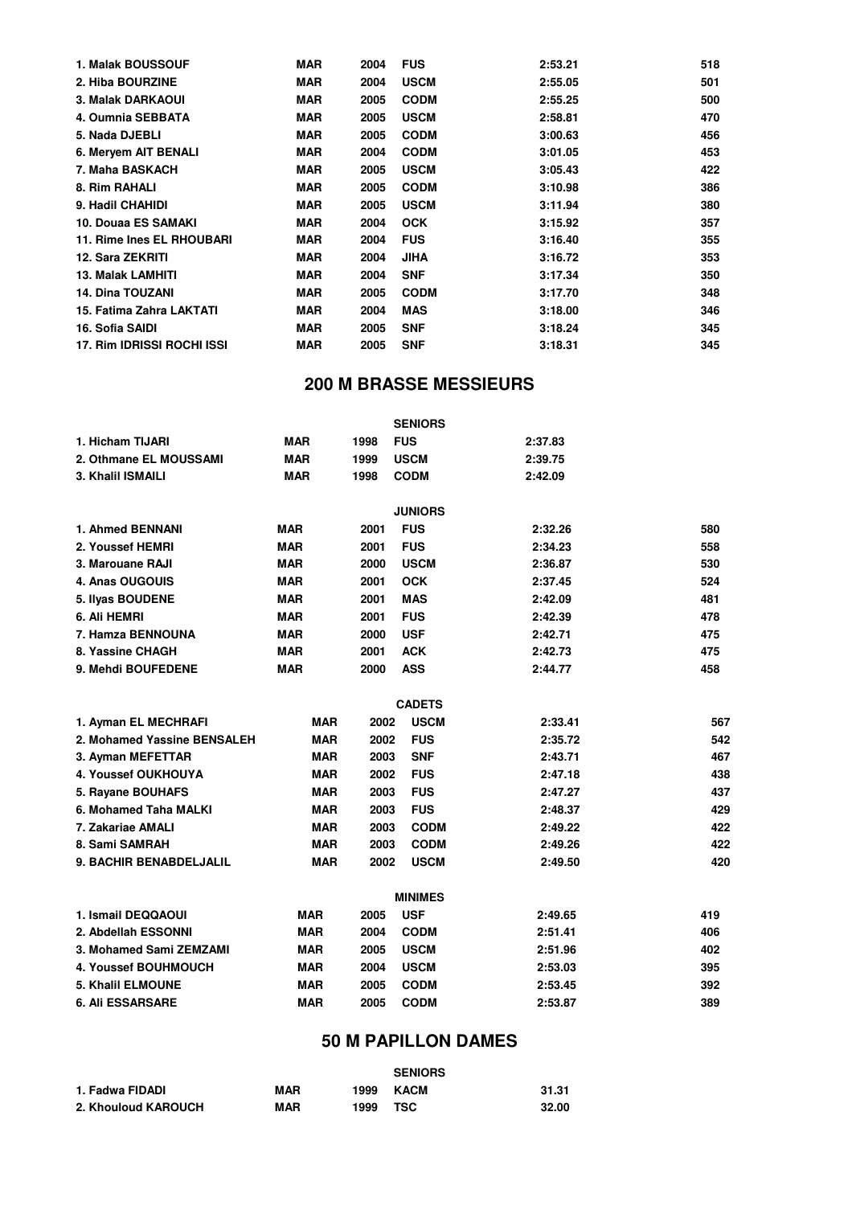| 1. Malak BOUSSOUF          | <b>MAR</b> | 2004 | <b>FUS</b>  | 2:53.21 | 518 |
|----------------------------|------------|------|-------------|---------|-----|
| 2. Hiba BOURZINE           | <b>MAR</b> | 2004 | <b>USCM</b> | 2:55.05 | 501 |
| 3. Malak DARKAOUI          | <b>MAR</b> | 2005 | <b>CODM</b> | 2:55.25 | 500 |
| 4. Oumnia SEBBATA          | MAR        | 2005 | <b>USCM</b> | 2:58.81 | 470 |
| 5. Nada DJEBLI             | MAR        | 2005 | <b>CODM</b> | 3:00.63 | 456 |
| 6. Mervem AIT BENALI       | <b>MAR</b> | 2004 | <b>CODM</b> | 3:01.05 | 453 |
| 7. Maha BASKACH            | <b>MAR</b> | 2005 | <b>USCM</b> | 3:05.43 | 422 |
| 8. Rim RAHALI              | <b>MAR</b> | 2005 | <b>CODM</b> | 3:10.98 | 386 |
| 9. Hadil CHAHIDI           | <b>MAR</b> | 2005 | <b>USCM</b> | 3:11.94 | 380 |
| 10. Douaa ES SAMAKI        | <b>MAR</b> | 2004 | <b>OCK</b>  | 3:15.92 | 357 |
| 11. Rime Ines EL RHOUBARI  | MAR        | 2004 | <b>FUS</b>  | 3:16.40 | 355 |
| 12. Sara ZEKRITI           | <b>MAR</b> | 2004 | JIHA        | 3:16.72 | 353 |
| <b>13. Malak LAMHITI</b>   | <b>MAR</b> | 2004 | <b>SNF</b>  | 3:17.34 | 350 |
| 14. Dina TOUZANI           | <b>MAR</b> | 2005 | <b>CODM</b> | 3:17.70 | 348 |
| 15. Fatima Zahra LAKTATI   | MAR        | 2004 | <b>MAS</b>  | 3:18.00 | 346 |
| 16. Sofia SAIDI            | <b>MAR</b> | 2005 | <b>SNF</b>  | 3:18.24 | 345 |
| 17. Rim IDRISSI ROCHI ISSI | <b>MAR</b> | 2005 | <b>SNF</b>  | 3:18.31 | 345 |
|                            |            |      |             |         |     |

#### **200 M BRASSE MESSIEURS**

|                             |            |      | <b>SENIORS</b> |         |     |
|-----------------------------|------------|------|----------------|---------|-----|
| 1. Hicham TIJARI            | <b>MAR</b> | 1998 | <b>FUS</b>     | 2:37.83 |     |
| 2. Othmane EL MOUSSAMI      | <b>MAR</b> | 1999 | <b>USCM</b>    | 2:39.75 |     |
| 3. Khalil ISMAILI           | <b>MAR</b> | 1998 | <b>CODM</b>    | 2:42.09 |     |
|                             |            |      | <b>JUNIORS</b> |         |     |
| 1. Ahmed BENNANI            | <b>MAR</b> | 2001 | <b>FUS</b>     | 2:32.26 | 580 |
| 2. Youssef HEMRI            | <b>MAR</b> | 2001 | <b>FUS</b>     | 2:34.23 | 558 |
| 3. Marouane RAJI            | <b>MAR</b> | 2000 | <b>USCM</b>    | 2:36.87 | 530 |
| 4. Anas OUGOUIS             | <b>MAR</b> | 2001 | <b>OCK</b>     | 2:37.45 | 524 |
| 5. Ilyas BOUDENE            | <b>MAR</b> | 2001 | <b>MAS</b>     | 2:42.09 | 481 |
| 6. Ali HEMRI                | <b>MAR</b> | 2001 | <b>FUS</b>     | 2:42.39 | 478 |
| 7. Hamza BENNOUNA           | <b>MAR</b> | 2000 | <b>USF</b>     | 2:42.71 | 475 |
| 8. Yassine CHAGH            | <b>MAR</b> | 2001 | <b>ACK</b>     | 2:42.73 | 475 |
| 9. Mehdi BOUFEDENE          | <b>MAR</b> | 2000 | <b>ASS</b>     | 2:44.77 | 458 |
|                             |            |      | <b>CADETS</b>  |         |     |
| 1. Ayman EL MECHRAFI        | <b>MAR</b> | 2002 | <b>USCM</b>    | 2:33.41 | 567 |
| 2. Mohamed Yassine BENSALEH | <b>MAR</b> | 2002 | <b>FUS</b>     | 2:35.72 | 542 |
| 3. Ayman MEFETTAR           | <b>MAR</b> | 2003 | <b>SNF</b>     | 2:43.71 | 467 |
| 4. Youssef OUKHOUYA         | <b>MAR</b> | 2002 | <b>FUS</b>     | 2:47.18 | 438 |
| 5. Rayane BOUHAFS           | <b>MAR</b> | 2003 | <b>FUS</b>     | 2:47.27 | 437 |
| 6. Mohamed Taha MALKI       | <b>MAR</b> | 2003 | <b>FUS</b>     | 2:48.37 | 429 |
| 7. Zakariae AMALI           | <b>MAR</b> | 2003 | <b>CODM</b>    | 2:49.22 | 422 |
| 8. Sami SAMRAH              | <b>MAR</b> | 2003 | <b>CODM</b>    | 2:49.26 | 422 |
| 9. BACHIR BENABDELJALIL     | <b>MAR</b> | 2002 | <b>USCM</b>    | 2:49.50 | 420 |
|                             |            |      | <b>MINIMES</b> |         |     |
| 1. Ismail DEQQAOUI          | MAR        | 2005 | <b>USF</b>     | 2:49.65 | 419 |
| 2. Abdellah ESSONNI         | <b>MAR</b> | 2004 | <b>CODM</b>    | 2:51.41 | 406 |
| 3. Mohamed Sami ZEMZAMI     | MAR        | 2005 | <b>USCM</b>    | 2:51.96 | 402 |
| <b>4. Youssef BOUHMOUCH</b> | <b>MAR</b> | 2004 | <b>USCM</b>    | 2:53.03 | 395 |
| <b>5. Khalil ELMOUNE</b>    | MAR        | 2005 | <b>CODM</b>    | 2:53.45 | 392 |
| <b>6. Ali ESSARSARE</b>     | MAR        | 2005 | <b>CODM</b>    | 2:53.87 | 389 |

# **50 M PAPILLON DAMES**

|                     |            |      | <b>SENIORS</b> |       |
|---------------------|------------|------|----------------|-------|
| 1. Fadwa FIDADI     | <b>MAR</b> | 1999 | KACM           | 31.31 |
| 2. Khouloud KAROUCH | MAR        | 1999 | TSC            | 32.00 |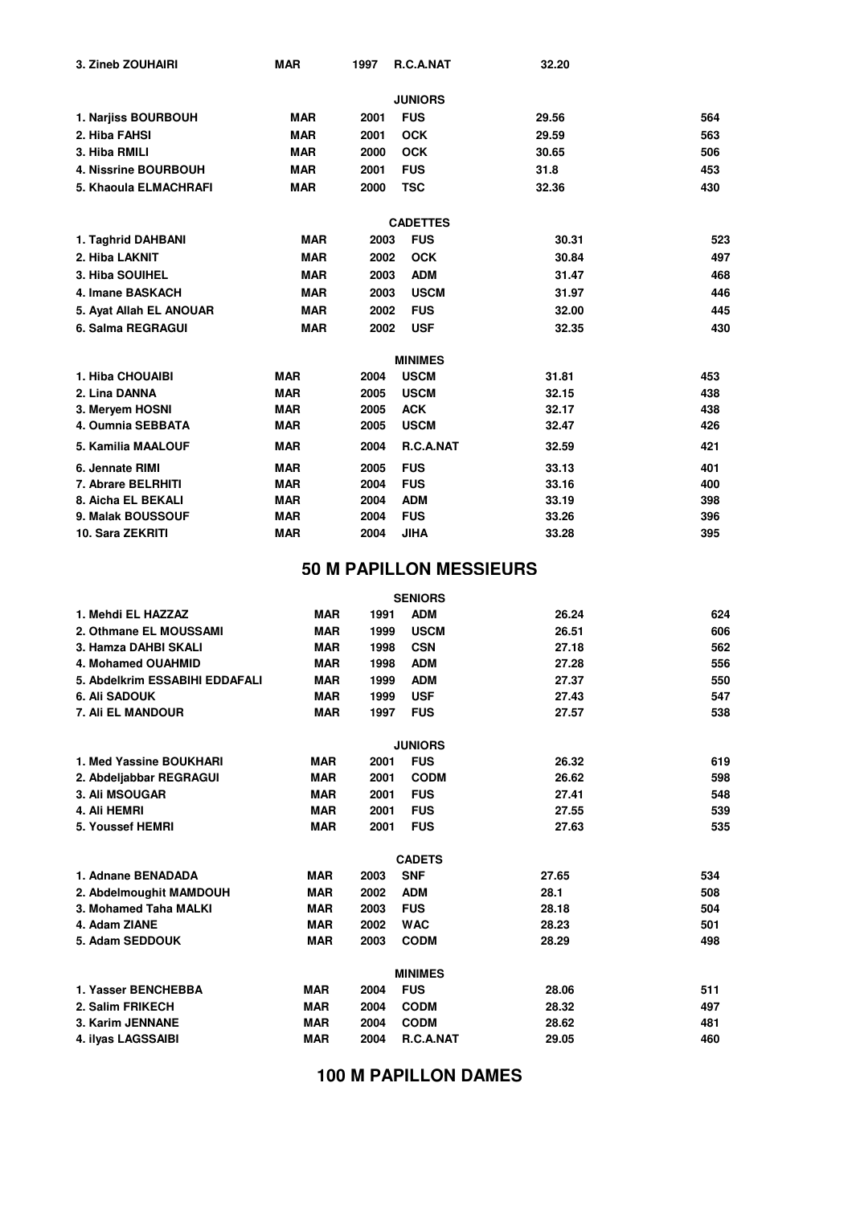| 3. Zineb ZOUHAIRI       | <b>MAR</b> | 1997 | R.C.A.NAT       | 32.20 |     |
|-------------------------|------------|------|-----------------|-------|-----|
|                         |            |      | <b>JUNIORS</b>  |       |     |
| 1. Narjiss BOURBOUH     | <b>MAR</b> | 2001 | <b>FUS</b>      | 29.56 | 564 |
| 2. Hiba FAHSI           | <b>MAR</b> | 2001 | <b>OCK</b>      | 29.59 | 563 |
| 3. Hiba RMILI           | <b>MAR</b> | 2000 | <b>OCK</b>      | 30.65 | 506 |
| 4. Nissrine BOURBOUH    | <b>MAR</b> | 2001 | <b>FUS</b>      | 31.8  | 453 |
| 5. Khaoula ELMACHRAFI   | <b>MAR</b> | 2000 | <b>TSC</b>      | 32.36 | 430 |
|                         |            |      | <b>CADETTES</b> |       |     |
| 1. Taghrid DAHBANI      | <b>MAR</b> | 2003 | <b>FUS</b>      | 30.31 | 523 |
| 2. Hiba LAKNIT          | <b>MAR</b> | 2002 | <b>OCK</b>      | 30.84 | 497 |
| 3. Hiba SOUIHEL         | <b>MAR</b> | 2003 | <b>ADM</b>      | 31.47 | 468 |
| 4. Imane BASKACH        | <b>MAR</b> | 2003 | <b>USCM</b>     | 31.97 | 446 |
| 5. Ayat Allah EL ANOUAR | <b>MAR</b> | 2002 | <b>FUS</b>      | 32.00 | 445 |
| 6. Salma REGRAGUI       | <b>MAR</b> | 2002 | <b>USF</b>      | 32.35 | 430 |
|                         |            |      | <b>MINIMES</b>  |       |     |
| 1. Hiba CHOUAIBI        | <b>MAR</b> | 2004 | <b>USCM</b>     | 31.81 | 453 |
| 2. Lina DANNA           | <b>MAR</b> | 2005 | <b>USCM</b>     | 32.15 | 438 |
| 3. Meryem HOSNI         | <b>MAR</b> | 2005 | <b>ACK</b>      | 32.17 | 438 |
| 4. Oumnia SEBBATA       | <b>MAR</b> | 2005 | <b>USCM</b>     | 32.47 | 426 |
| 5. Kamilia MAALOUF      | <b>MAR</b> | 2004 | R.C.A.NAT       | 32.59 | 421 |
| 6. Jennate RIMI         | <b>MAR</b> | 2005 | <b>FUS</b>      | 33.13 | 401 |
| 7. Abrare BELRHITI      | <b>MAR</b> | 2004 | <b>FUS</b>      | 33.16 | 400 |
| 8. Aicha EL BEKALI      | <b>MAR</b> | 2004 | <b>ADM</b>      | 33.19 | 398 |
| 9. Malak BOUSSOUF       | <b>MAR</b> | 2004 | <b>FUS</b>      | 33.26 | 396 |
| 10. Sara ZEKRITI        | <b>MAR</b> | 2004 | <b>JIHA</b>     | 33.28 | 395 |

## **50 M PAPILLON MESSIEURS**

|                                |            |      | <b>SENIORS</b> |       |     |
|--------------------------------|------------|------|----------------|-------|-----|
| 1. Mehdi EL HAZZAZ             | <b>MAR</b> | 1991 | <b>ADM</b>     | 26.24 | 624 |
| 2. Othmane EL MOUSSAMI         | <b>MAR</b> | 1999 | <b>USCM</b>    | 26.51 | 606 |
| 3. Hamza DAHBI SKALI           | <b>MAR</b> | 1998 | <b>CSN</b>     | 27.18 | 562 |
| 4. Mohamed OUAHMID             | <b>MAR</b> | 1998 | <b>ADM</b>     | 27.28 | 556 |
| 5. Abdelkrim ESSABIHI EDDAFALI | <b>MAR</b> | 1999 | <b>ADM</b>     | 27.37 | 550 |
| <b>6. Ali SADOUK</b>           | <b>MAR</b> | 1999 | <b>USF</b>     | 27.43 | 547 |
| 7. Ali EL MANDOUR              | <b>MAR</b> | 1997 | <b>FUS</b>     | 27.57 | 538 |
|                                |            |      | <b>JUNIORS</b> |       |     |
| 1. Med Yassine BOUKHARI        | <b>MAR</b> | 2001 | <b>FUS</b>     | 26.32 | 619 |
| 2. Abdeljabbar REGRAGUI        | <b>MAR</b> | 2001 | <b>CODM</b>    | 26.62 | 598 |
| <b>3. Ali MSOUGAR</b>          | <b>MAR</b> | 2001 | <b>FUS</b>     | 27.41 | 548 |
| 4. Ali HEMRI                   | <b>MAR</b> | 2001 | <b>FUS</b>     | 27.55 | 539 |
| 5. Youssef HEMRI               | <b>MAR</b> | 2001 | <b>FUS</b>     | 27.63 | 535 |
|                                |            |      | <b>CADETS</b>  |       |     |
| 1. Adnane BENADADA             | <b>MAR</b> | 2003 | <b>SNF</b>     | 27.65 | 534 |
| 2. Abdelmoughit MAMDOUH        | <b>MAR</b> | 2002 | <b>ADM</b>     | 28.1  | 508 |
| 3. Mohamed Taha MALKI          | <b>MAR</b> | 2003 | <b>FUS</b>     | 28.18 | 504 |
| 4. Adam ZIANE                  | <b>MAR</b> | 2002 | <b>WAC</b>     | 28.23 | 501 |
| 5. Adam SEDDOUK                | <b>MAR</b> | 2003 | <b>CODM</b>    | 28.29 | 498 |
|                                |            |      | <b>MINIMES</b> |       |     |
| 1. Yasser BENCHEBBA            | <b>MAR</b> | 2004 | <b>FUS</b>     | 28.06 | 511 |
| 2. Salim FRIKECH               | <b>MAR</b> | 2004 | <b>CODM</b>    | 28.32 | 497 |
| 3. Karim JENNANE               | <b>MAR</b> | 2004 | <b>CODM</b>    | 28.62 | 481 |
| 4. ilvas LAGSSAIBI             | <b>MAR</b> | 2004 | R.C.A.NAT      | 29.05 | 460 |
|                                |            |      |                |       |     |

**100 M PAPILLON DAMES**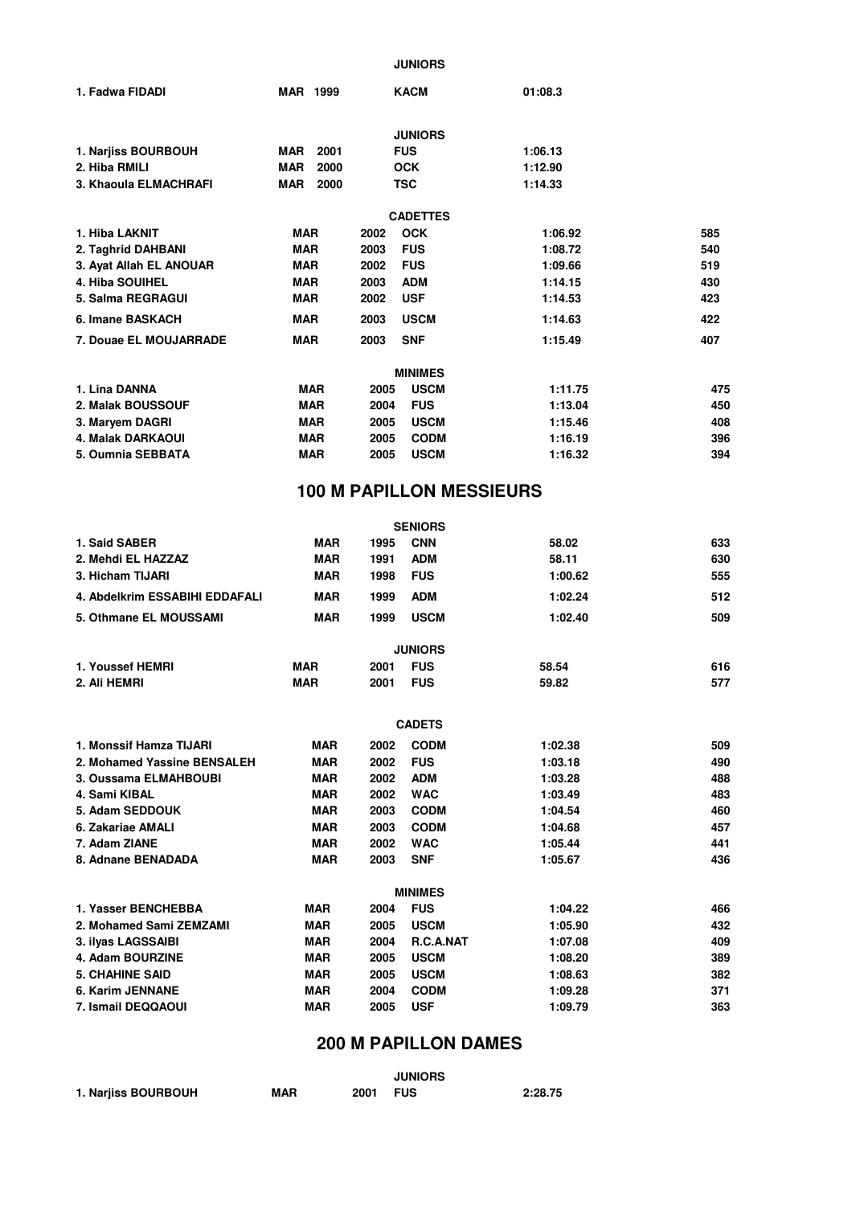**JUNIORS**

| 1. Fadwa FIDADI         | <b>MAR 1999</b> | <b>KACM</b>         | 01:08.3 |                |
|-------------------------|-----------------|---------------------|---------|----------------|
|                         |                 | <b>JUNIORS</b>      |         |                |
| 1. Narjiss BOURBOUH     | MAR<br>2001     | <b>FUS</b>          | 1:06.13 |                |
| 2. Hiba RMILI           | MAR<br>2000     | <b>OCK</b>          | 1:12.90 |                |
| 3. Khaoula ELMACHRAFI   | <b>MAR 2000</b> | <b>TSC</b>          | 1:14.33 |                |
|                         |                 | <b>CADETTES</b>     |         |                |
| 1. Hiba LAKNIT          | MAR             | <b>OCK</b><br>2002  | 1:06.92 | 585            |
| 2. Taghrid DAHBANI      | <b>MAR</b>      | <b>FUS</b><br>2003  | 1:08.72 | 540            |
| 3. Ayat Allah EL ANOUAR | <b>MAR</b>      | 2002<br><b>FUS</b>  | 1:09.66 | 519            |
| 4. Hiba SOUIHEL         | MAR             | <b>ADM</b><br>2003  | 1:14.15 | 430            |
| 5. Salma REGRAGUI       | <b>MAR</b>      | 2002<br><b>USF</b>  | 1:14.53 | 423            |
| 6. Imane BASKACH        | <b>MAR</b>      | <b>USCM</b><br>2003 | 1:14.63 | 422            |
| 7. Douae EL MOUJARRADE  | <b>MAR</b>      | <b>SNF</b><br>2003  | 1:15.49 | 407            |
|                         |                 | <b>MINIMES</b>      |         |                |
| 1. Lina DANNA           | <b>MAR</b>      | <b>USCM</b><br>2005 | 1:11.75 | $\overline{4}$ |
| 2. Malak BOUSSOUF       | <b>MAR</b>      | <b>FUS</b><br>2004  | 1:13.04 | 4 <sub>5</sub> |
| 3. Maryem DAGRI         | <b>MAR</b>      | <b>USCM</b><br>2005 | 1:15.46 | 4(             |

**5. Oumnia SEBBATA MAR 2005 USCM 1:16.32 4. Malak DARKAOUI MAR 2005 CODM 1:16.19**

#### **100 M PAPILLON MESSIEURS**

**519**

**423**

**585**

|                                |            |      | <b>SENIORS</b>   |         |     |
|--------------------------------|------------|------|------------------|---------|-----|
| 1. Said SABER                  | <b>MAR</b> | 1995 | <b>CNN</b>       | 58.02   | 633 |
| 2. Mehdi EL HAZZAZ             | <b>MAR</b> | 1991 | <b>ADM</b>       | 58.11   | 630 |
| 3. Hicham TIJARI               | <b>MAR</b> | 1998 | <b>FUS</b>       | 1:00.62 | 555 |
| 4. Abdelkrim ESSABIHI EDDAFALI | <b>MAR</b> | 1999 | <b>ADM</b>       | 1:02.24 | 512 |
| 5. Othmane EL MOUSSAMI         | <b>MAR</b> | 1999 | <b>USCM</b>      | 1:02.40 | 509 |
|                                |            |      | <b>JUNIORS</b>   |         |     |
| 1. Youssef HEMRI               | <b>MAR</b> | 2001 | <b>FUS</b>       | 58.54   | 616 |
| 2. Ali HEMRI                   | <b>MAR</b> | 2001 | <b>FUS</b>       | 59.82   | 577 |
|                                |            |      | <b>CADETS</b>    |         |     |
| 1. Monssif Hamza TIJARI        | <b>MAR</b> | 2002 | <b>CODM</b>      | 1:02.38 | 509 |
| 2. Mohamed Yassine BENSALEH    | <b>MAR</b> | 2002 | <b>FUS</b>       | 1:03.18 | 490 |
| 3. Oussama ELMAHBOUBI          | <b>MAR</b> | 2002 | <b>ADM</b>       | 1:03.28 | 488 |
| 4. Sami KIBAL                  | <b>MAR</b> | 2002 | <b>WAC</b>       | 1:03.49 | 483 |
| 5. Adam SEDDOUK                | <b>MAR</b> | 2003 | <b>CODM</b>      | 1:04.54 | 460 |
| 6. Zakariae AMALI              | <b>MAR</b> | 2003 | <b>CODM</b>      | 1:04.68 | 457 |
| 7. Adam ZIANE                  | <b>MAR</b> | 2002 | <b>WAC</b>       | 1:05.44 | 441 |
| 8. Adnane BENADADA             | <b>MAR</b> | 2003 | <b>SNF</b>       | 1:05.67 | 436 |
|                                |            |      | <b>MINIMES</b>   |         |     |
| 1. Yasser BENCHEBBA            | <b>MAR</b> | 2004 | <b>FUS</b>       | 1:04.22 | 466 |
| 2. Mohamed Sami ZEMZAMI        | <b>MAR</b> | 2005 | <b>USCM</b>      | 1:05.90 | 432 |
| 3. ilyas LAGSSAIBI             | <b>MAR</b> | 2004 | <b>R.C.A.NAT</b> | 1:07.08 | 409 |
| 4. Adam BOURZINE               | <b>MAR</b> | 2005 | <b>USCM</b>      | 1:08.20 | 389 |
| <b>5. CHAHINE SAID</b>         | <b>MAR</b> | 2005 | <b>USCM</b>      | 1:08.63 | 382 |
| 6. Karim JENNANE               | <b>MAR</b> | 2004 | <b>CODM</b>      | 1:09.28 | 371 |
| 7. Ismail DEQQAOUI             | <b>MAR</b> | 2005 | <b>USF</b>       | 1:09.79 | 363 |

### **200 M PAPILLON DAMES**

|                     |            |      | <b>JUNIORS</b> |         |
|---------------------|------------|------|----------------|---------|
| 1. Narjiss BOURBOUH | <b>MAR</b> | 2001 | FUS            | 2:28.75 |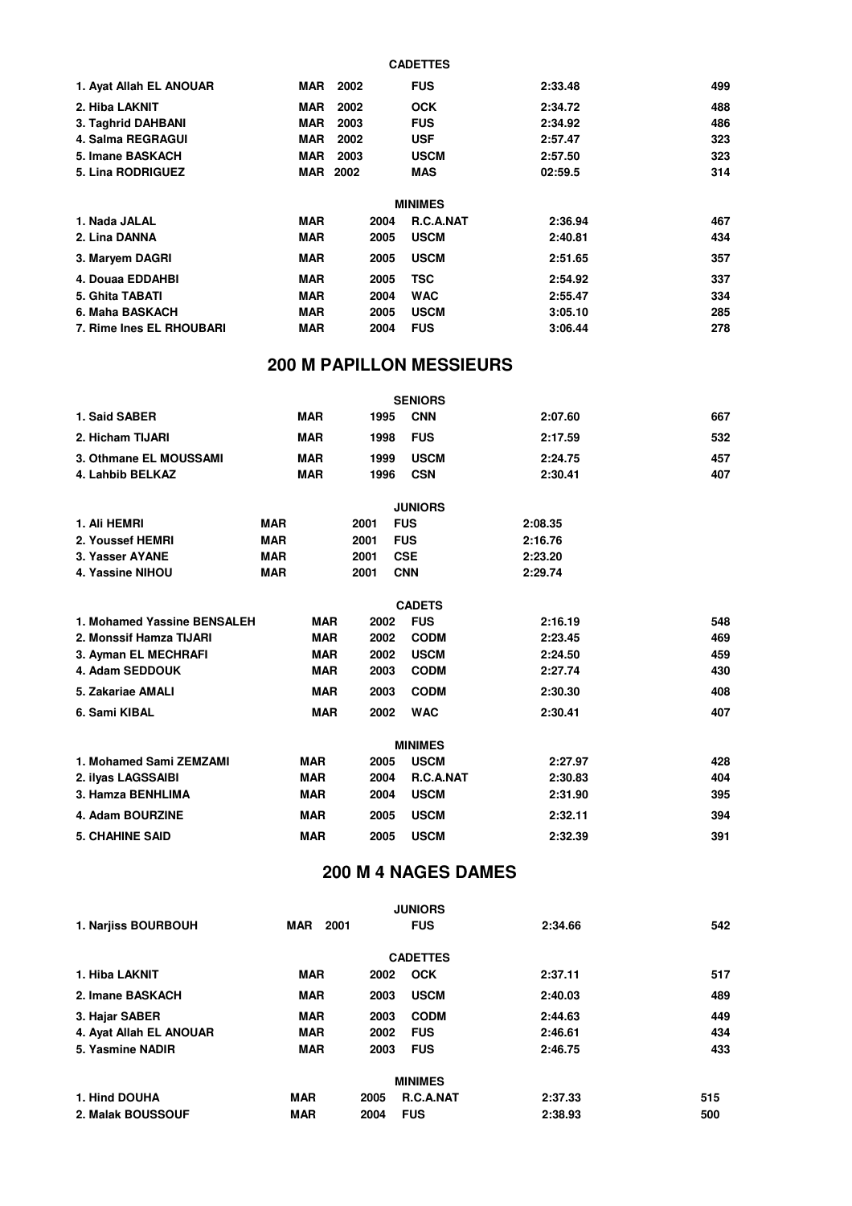| 1. Ayat Allah EL ANOUAR  | MAR             | 2002 | <b>FUS</b>       | 2:33.48 | 499 |
|--------------------------|-----------------|------|------------------|---------|-----|
| 2. Hiba LAKNIT           | <b>MAR</b>      | 2002 | <b>OCK</b>       | 2:34.72 | 488 |
| 3. Taghrid DAHBANI       | <b>MAR</b>      | 2003 | <b>FUS</b>       | 2:34.92 | 486 |
| 4. Salma REGRAGUI        | <b>MAR</b>      | 2002 | <b>USF</b>       | 2:57.47 | 323 |
| 5. Imane BASKACH         | MAR             | 2003 | <b>USCM</b>      | 2:57.50 | 323 |
| <b>5. Lina RODRIGUEZ</b> | <b>MAR 2002</b> |      | <b>MAS</b>       | 02:59.5 | 314 |
|                          |                 |      | <b>MINIMES</b>   |         |     |
| 1. Nada JALAL            | <b>MAR</b>      | 2004 | <b>R.C.A.NAT</b> | 2:36.94 | 467 |
| 2. Lina DANNA            | <b>MAR</b>      | 2005 | <b>USCM</b>      | 2:40.81 | 434 |
| 3. Maryem DAGRI          | <b>MAR</b>      | 2005 | <b>USCM</b>      | 2:51.65 | 357 |
| 4. Douaa EDDAHBI         | <b>MAR</b>      | 2005 | TSC              | 2:54.92 | 337 |
| 5. Ghita TABATI          | <b>MAR</b>      | 2004 | <b>WAC</b>       | 2:55.47 | 334 |
| 6. Maha BASKACH          | <b>MAR</b>      | 2005 | <b>USCM</b>      | 3:05.10 | 285 |
| 7. Rime Ines EL RHOUBARI | <b>MAR</b>      | 2004 | <b>FUS</b>       | 3:06.44 | 278 |

**CADETTES**

# **200 M PAPILLON MESSIEURS**

|                             |            |            |      |            | <b>SENIORS</b> |         |         |     |
|-----------------------------|------------|------------|------|------------|----------------|---------|---------|-----|
| 1. Said SABER               |            | <b>MAR</b> | 1995 |            | <b>CNN</b>     |         | 2:07.60 | 667 |
| 2. Hicham TIJARI            |            | <b>MAR</b> | 1998 |            | <b>FUS</b>     |         | 2:17.59 | 532 |
| 3. Othmane EL MOUSSAMI      |            | <b>MAR</b> | 1999 |            | <b>USCM</b>    |         | 2:24.75 | 457 |
| 4. Lahbib BELKAZ            |            | <b>MAR</b> | 1996 |            | <b>CSN</b>     |         | 2:30.41 | 407 |
|                             |            |            |      |            | <b>JUNIORS</b> |         |         |     |
| 1. Ali HEMRI                | <b>MAR</b> |            | 2001 | <b>FUS</b> |                | 2:08.35 |         |     |
| 2. Youssef HEMRI            | <b>MAR</b> |            | 2001 | <b>FUS</b> |                | 2:16.76 |         |     |
| 3. Yasser AYANE             | <b>MAR</b> |            | 2001 | <b>CSE</b> |                | 2:23.20 |         |     |
| 4. Yassine NIHOU            | <b>MAR</b> |            | 2001 | <b>CNN</b> |                | 2:29.74 |         |     |
|                             |            |            |      |            | <b>CADETS</b>  |         |         |     |
| 1. Mohamed Yassine BENSALEH |            | <b>MAR</b> | 2002 |            | <b>FUS</b>     |         | 2:16.19 | 548 |
| 2. Monssif Hamza TIJARI     |            | <b>MAR</b> | 2002 |            | <b>CODM</b>    |         | 2:23.45 | 469 |
| 3. Ayman EL MECHRAFI        |            | <b>MAR</b> | 2002 |            | <b>USCM</b>    |         | 2:24.50 | 459 |
| 4. Adam SEDDOUK             |            | <b>MAR</b> | 2003 |            | <b>CODM</b>    |         | 2:27.74 | 430 |
| 5. Zakariae AMALI           |            | <b>MAR</b> | 2003 |            | <b>CODM</b>    |         | 2:30.30 | 408 |
| 6. Sami KIBAL               |            | <b>MAR</b> | 2002 |            | <b>WAC</b>     |         | 2:30.41 | 407 |
|                             |            |            |      |            | <b>MINIMES</b> |         |         |     |
| 1. Mohamed Sami ZEMZAMI     |            | <b>MAR</b> | 2005 |            | <b>USCM</b>    |         | 2:27.97 | 428 |
| 2. ilyas LAGSSAIBI          |            | <b>MAR</b> | 2004 |            | R.C.A.NAT      |         | 2:30.83 | 404 |
| 3. Hamza BENHLIMA           |            | <b>MAR</b> | 2004 |            | <b>USCM</b>    |         | 2:31.90 | 395 |
| 4. Adam BOURZINE            |            | <b>MAR</b> | 2005 |            | <b>USCM</b>    |         | 2:32.11 | 394 |
| <b>5. CHAHINE SAID</b>      |            | <b>MAR</b> | 2005 |            | <b>USCM</b>    |         | 2:32.39 | 391 |

# **200 M 4 NAGES DAMES**

|                         |                 | <b>JUNIORS</b>           |         |     |
|-------------------------|-----------------|--------------------------|---------|-----|
| 1. Narjiss BOURBOUH     | <b>MAR</b> 2001 | <b>FUS</b>               | 2:34.66 | 542 |
|                         |                 | <b>CADETTES</b>          |         |     |
| 1. Hiba LAKNIT          | <b>MAR</b>      | <b>OCK</b><br>2002       | 2:37.11 | 517 |
| 2. Imane BASKACH        | <b>MAR</b>      | <b>USCM</b><br>2003      | 2:40.03 | 489 |
| 3. Hajar SABER          | <b>MAR</b>      | <b>CODM</b><br>2003      | 2:44.63 | 449 |
| 4. Ayat Allah EL ANOUAR | <b>MAR</b>      | <b>FUS</b><br>2002       | 2:46.61 | 434 |
| 5. Yasmine NADIR        | <b>MAR</b>      | <b>FUS</b><br>2003       | 2:46.75 | 433 |
|                         |                 | <b>MINIMES</b>           |         |     |
| 1. Hind DOUHA           | <b>MAR</b>      | 2005<br><b>R.C.A.NAT</b> | 2:37.33 | 515 |
| 2. Malak BOUSSOUF       | <b>MAR</b>      | <b>FUS</b><br>2004       | 2:38.93 | 500 |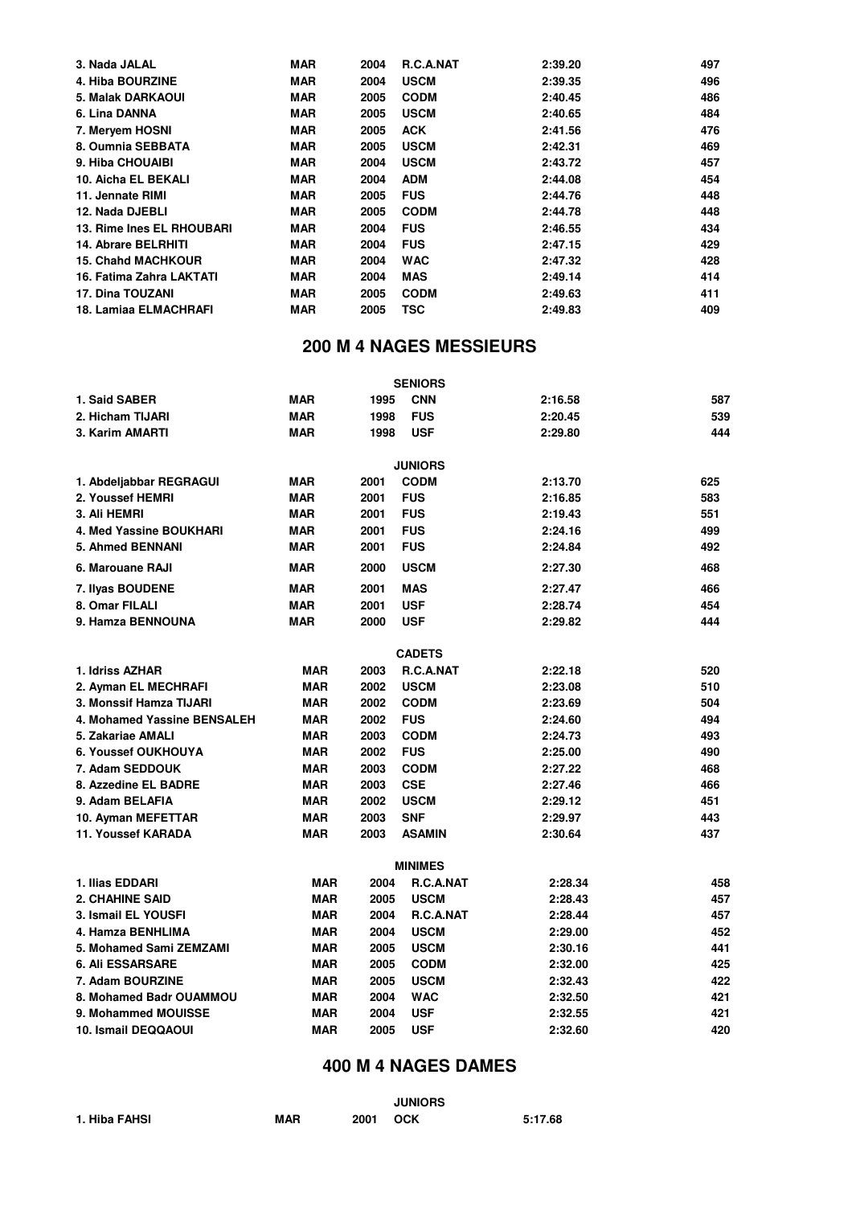| 3. Nada JALAL              | <b>MAR</b> | 2004 | R.C.A.NAT   | 2:39.20 | 497 |
|----------------------------|------------|------|-------------|---------|-----|
| 4. Hiba BOURZINE           | <b>MAR</b> | 2004 | <b>USCM</b> | 2:39.35 | 496 |
| <b>5. Malak DARKAOUI</b>   | <b>MAR</b> | 2005 | <b>CODM</b> | 2:40.45 | 486 |
| 6. Lina DANNA              | <b>MAR</b> | 2005 | <b>USCM</b> | 2:40.65 | 484 |
| 7. Meryem HOSNI            | <b>MAR</b> | 2005 | <b>ACK</b>  | 2:41.56 | 476 |
| 8. Oumnia SEBBATA          | <b>MAR</b> | 2005 | <b>USCM</b> | 2:42.31 | 469 |
| 9. Hiba CHOUAIBI           | <b>MAR</b> | 2004 | <b>USCM</b> | 2:43.72 | 457 |
| 10. Aicha EL BEKALI        | <b>MAR</b> | 2004 | <b>ADM</b>  | 2:44.08 | 454 |
| 11. Jennate RIMI           | <b>MAR</b> | 2005 | <b>FUS</b>  | 2:44.76 | 448 |
| 12. Nada DJEBLI            | <b>MAR</b> | 2005 | <b>CODM</b> | 2:44.78 | 448 |
| 13. Rime Ines EL RHOUBARI  | <b>MAR</b> | 2004 | <b>FUS</b>  | 2:46.55 | 434 |
| <b>14. Abrare BELRHITI</b> | <b>MAR</b> | 2004 | <b>FUS</b>  | 2:47.15 | 429 |
| <b>15. Chahd MACHKOUR</b>  | <b>MAR</b> | 2004 | <b>WAC</b>  | 2:47.32 | 428 |
| 16. Fatima Zahra LAKTATI   | <b>MAR</b> | 2004 | <b>MAS</b>  | 2:49.14 | 414 |
| <b>17. Dina TOUZANI</b>    | <b>MAR</b> | 2005 | <b>CODM</b> | 2:49.63 | 411 |
| 18. Lamiaa ELMACHRAFI      | <b>MAR</b> | 2005 | <b>TSC</b>  | 2:49.83 | 409 |
|                            |            |      |             |         |     |

# **200 M 4 NAGES MESSIEURS**

|                             |            |      | <b>SENIORS</b>   |         |     |
|-----------------------------|------------|------|------------------|---------|-----|
| 1. Said SABER               | <b>MAR</b> | 1995 | <b>CNN</b>       | 2:16.58 | 587 |
| 2. Hicham TIJARI            | <b>MAR</b> | 1998 | <b>FUS</b>       | 2:20.45 | 539 |
| 3. Karim AMARTI             | <b>MAR</b> | 1998 | <b>USF</b>       | 2:29.80 | 444 |
|                             |            |      | <b>JUNIORS</b>   |         |     |
| 1. Abdeljabbar REGRAGUI     | <b>MAR</b> | 2001 | <b>CODM</b>      | 2:13.70 | 625 |
| 2. Youssef HEMRI            | <b>MAR</b> | 2001 | <b>FUS</b>       | 2:16.85 | 583 |
| 3. Ali HEMRI                | <b>MAR</b> | 2001 | <b>FUS</b>       | 2:19.43 | 551 |
| 4. Med Yassine BOUKHARI     | <b>MAR</b> | 2001 | <b>FUS</b>       | 2:24.16 | 499 |
| <b>5. Ahmed BENNANI</b>     | <b>MAR</b> | 2001 | <b>FUS</b>       | 2:24.84 | 492 |
| 6. Marouane RAJI            | <b>MAR</b> | 2000 | <b>USCM</b>      | 2:27.30 | 468 |
| 7. Ilyas BOUDENE            | <b>MAR</b> | 2001 | MAS              | 2:27.47 | 466 |
| 8. Omar FILALI              | <b>MAR</b> | 2001 | <b>USF</b>       | 2:28.74 | 454 |
| 9. Hamza BENNOUNA           | <b>MAR</b> | 2000 | <b>USF</b>       | 2:29.82 | 444 |
|                             |            |      | <b>CADETS</b>    |         |     |
| 1. Idriss AZHAR             | <b>MAR</b> | 2003 | R.C.A.NAT        | 2:22.18 | 520 |
| 2. Ayman EL MECHRAFI        | <b>MAR</b> | 2002 | <b>USCM</b>      | 2:23.08 | 510 |
| 3. Monssif Hamza TIJARI     | <b>MAR</b> | 2002 | <b>CODM</b>      | 2:23.69 | 504 |
| 4. Mohamed Yassine BENSALEH | <b>MAR</b> | 2002 | <b>FUS</b>       | 2:24.60 | 494 |
| 5. Zakariae AMALI           | <b>MAR</b> | 2003 | <b>CODM</b>      | 2:24.73 | 493 |
| 6. Youssef OUKHOUYA         | <b>MAR</b> | 2002 | <b>FUS</b>       | 2:25.00 | 490 |
| 7. Adam SEDDOUK             | <b>MAR</b> | 2003 | <b>CODM</b>      | 2:27.22 | 468 |
| 8. Azzedine EL BADRE        | <b>MAR</b> | 2003 | <b>CSE</b>       | 2:27.46 | 466 |
| 9. Adam BELAFIA             | <b>MAR</b> | 2002 | <b>USCM</b>      | 2:29.12 | 451 |
| 10. Ayman MEFETTAR          | <b>MAR</b> | 2003 | SNF              | 2:29.97 | 443 |
| 11. Youssef KARADA          | <b>MAR</b> | 2003 | <b>ASAMIN</b>    | 2:30.64 | 437 |
|                             |            |      | <b>MINIMES</b>   |         |     |
| 1. Ilias EDDARI             | <b>MAR</b> | 2004 | <b>R.C.A.NAT</b> | 2:28.34 | 458 |
| <b>2. CHAHINE SAID</b>      | <b>MAR</b> | 2005 | <b>USCM</b>      | 2:28.43 | 457 |
| 3. Ismail EL YOUSFI         | <b>MAR</b> | 2004 | <b>R.C.A.NAT</b> | 2:28.44 | 457 |
| 4. Hamza BENHLIMA           | <b>MAR</b> | 2004 | <b>USCM</b>      | 2:29.00 | 452 |
| 5. Mohamed Sami ZEMZAMI     | <b>MAR</b> | 2005 | <b>USCM</b>      | 2:30.16 | 441 |
| <b>6. Ali ESSARSARE</b>     | <b>MAR</b> | 2005 | <b>CODM</b>      | 2:32.00 | 425 |
| 7. Adam BOURZINE            | <b>MAR</b> | 2005 | <b>USCM</b>      | 2:32.43 | 422 |
| 8. Mohamed Badr OUAMMOU     | <b>MAR</b> | 2004 | <b>WAC</b>       | 2:32.50 | 421 |
| 9. Mohammed MOUISSE         | <b>MAR</b> | 2004 | <b>USF</b>       | 2:32.55 | 421 |
| 10. Ismail DEQQAOUI         | <b>MAR</b> | 2005 | <b>USF</b>       | 2:32.60 | 420 |

# **400 M 4 NAGES DAMES**

|               |            |      | <b>JUNIORS</b> |         |
|---------------|------------|------|----------------|---------|
| 1. Hiba FAHSI | <b>MAR</b> | 2001 | OCK            | 5:17.68 |